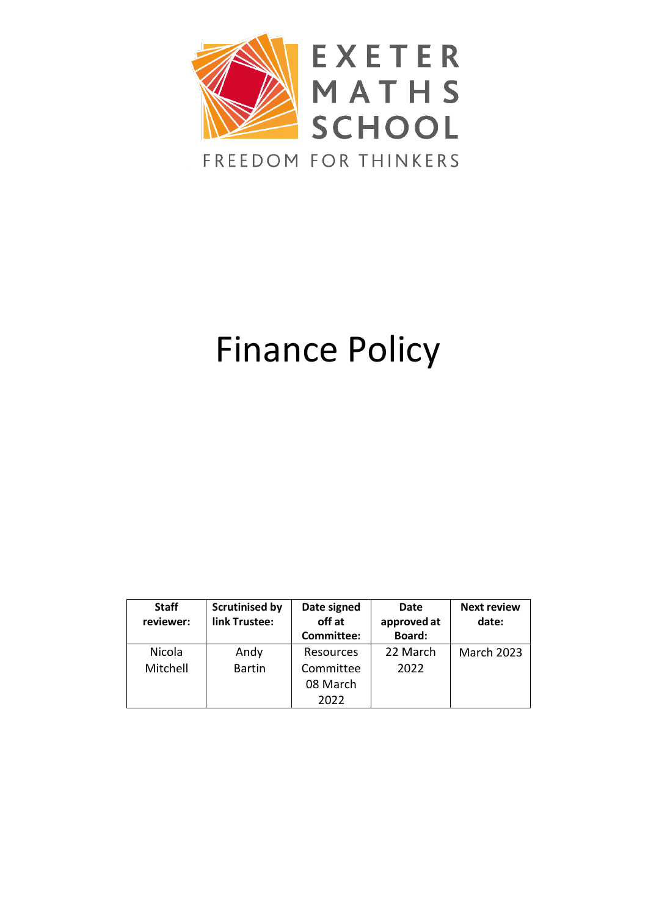

# Finance Policy

| <b>Staff</b><br>reviewer: | <b>Scrutinised by</b><br>link Trustee: | Date signed<br>off at<br><b>Committee:</b> | Date<br>approved at<br>Board: | <b>Next review</b><br>date: |
|---------------------------|----------------------------------------|--------------------------------------------|-------------------------------|-----------------------------|
| Nicola                    | Andy                                   | Resources                                  | 22 March                      | <b>March 2023</b>           |
| Mitchell                  | <b>Bartin</b>                          | Committee                                  | 2022                          |                             |
|                           |                                        | 08 March                                   |                               |                             |
|                           |                                        | 2022                                       |                               |                             |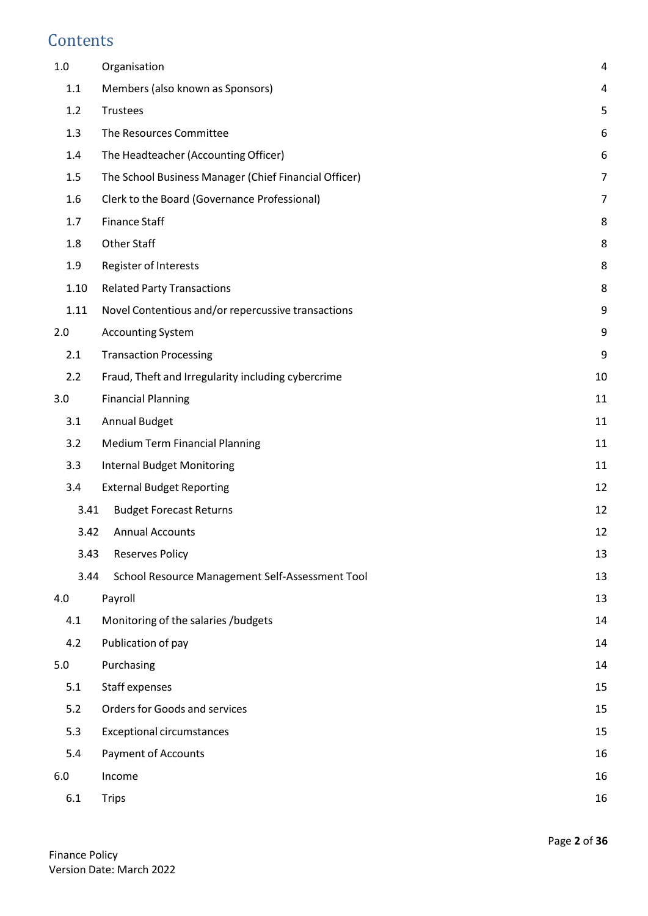# **Contents**

| $1.0\,$ | Organisation                                          | 4              |
|---------|-------------------------------------------------------|----------------|
| 1.1     | Members (also known as Sponsors)                      | 4              |
| 1.2     | Trustees                                              | 5              |
| 1.3     | The Resources Committee                               | 6              |
| 1.4     | The Headteacher (Accounting Officer)                  | 6              |
| 1.5     | The School Business Manager (Chief Financial Officer) | $\overline{7}$ |
| 1.6     | Clerk to the Board (Governance Professional)          | $\overline{7}$ |
| 1.7     | <b>Finance Staff</b>                                  | 8              |
| 1.8     | Other Staff                                           | 8              |
| 1.9     | Register of Interests                                 | 8              |
| 1.10    | <b>Related Party Transactions</b>                     | 8              |
| 1.11    | Novel Contentious and/or repercussive transactions    | 9              |
| 2.0     | <b>Accounting System</b>                              | 9              |
| 2.1     | <b>Transaction Processing</b>                         | 9              |
| 2.2     | Fraud, Theft and Irregularity including cybercrime    | 10             |
| 3.0     | <b>Financial Planning</b>                             | 11             |
| 3.1     | <b>Annual Budget</b>                                  | 11             |
| 3.2     | <b>Medium Term Financial Planning</b>                 | 11             |
| 3.3     | <b>Internal Budget Monitoring</b>                     | 11             |
| 3.4     | <b>External Budget Reporting</b>                      | 12             |
| 3.41    | <b>Budget Forecast Returns</b>                        | 12             |
| 3.42    | <b>Annual Accounts</b>                                | 12             |
| 3.43    | <b>Reserves Policy</b>                                | 13             |
| 3.44    | School Resource Management Self-Assessment Tool       | 13             |
| 4.0     | Payroll                                               | 13             |
| 4.1     | Monitoring of the salaries /budgets                   | 14             |
| 4.2     | Publication of pay                                    | 14             |
| 5.0     | Purchasing                                            | 14             |
| 5.1     | Staff expenses                                        | 15             |
| 5.2     | Orders for Goods and services                         | 15             |
| 5.3     | <b>Exceptional circumstances</b>                      | 15             |
| 5.4     | <b>Payment of Accounts</b>                            | 16             |
| 6.0     | Income                                                | 16             |
| 6.1     | <b>Trips</b>                                          | 16             |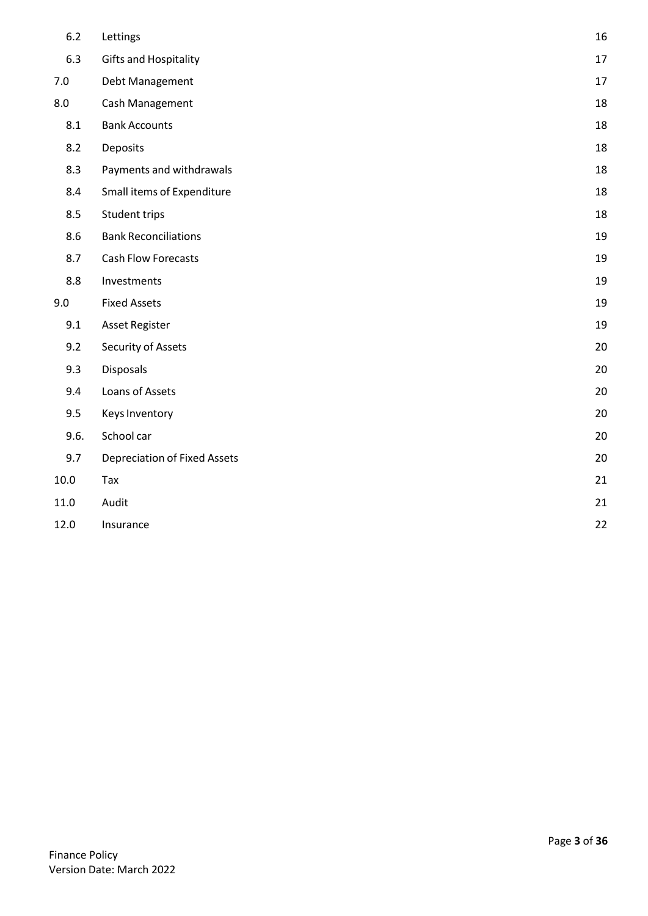| 6.2  | Lettings                            | 16 |
|------|-------------------------------------|----|
| 6.3  | <b>Gifts and Hospitality</b>        | 17 |
| 7.0  | Debt Management                     | 17 |
| 8.0  | Cash Management                     | 18 |
| 8.1  | <b>Bank Accounts</b>                | 18 |
| 8.2  | Deposits                            | 18 |
| 8.3  | Payments and withdrawals            | 18 |
| 8.4  | Small items of Expenditure          | 18 |
| 8.5  | Student trips                       | 18 |
| 8.6  | <b>Bank Reconciliations</b>         | 19 |
| 8.7  | Cash Flow Forecasts                 | 19 |
| 8.8  | Investments                         | 19 |
| 9.0  | <b>Fixed Assets</b>                 | 19 |
| 9.1  | <b>Asset Register</b>               | 19 |
| 9.2  | Security of Assets                  | 20 |
| 9.3  | Disposals                           | 20 |
| 9.4  | Loans of Assets                     | 20 |
| 9.5  | <b>Keys Inventory</b>               | 20 |
| 9.6. | School car                          | 20 |
| 9.7  | <b>Depreciation of Fixed Assets</b> | 20 |
| 10.0 | Tax                                 | 21 |
| 11.0 | Audit                               | 21 |
| 12.0 | Insurance                           | 22 |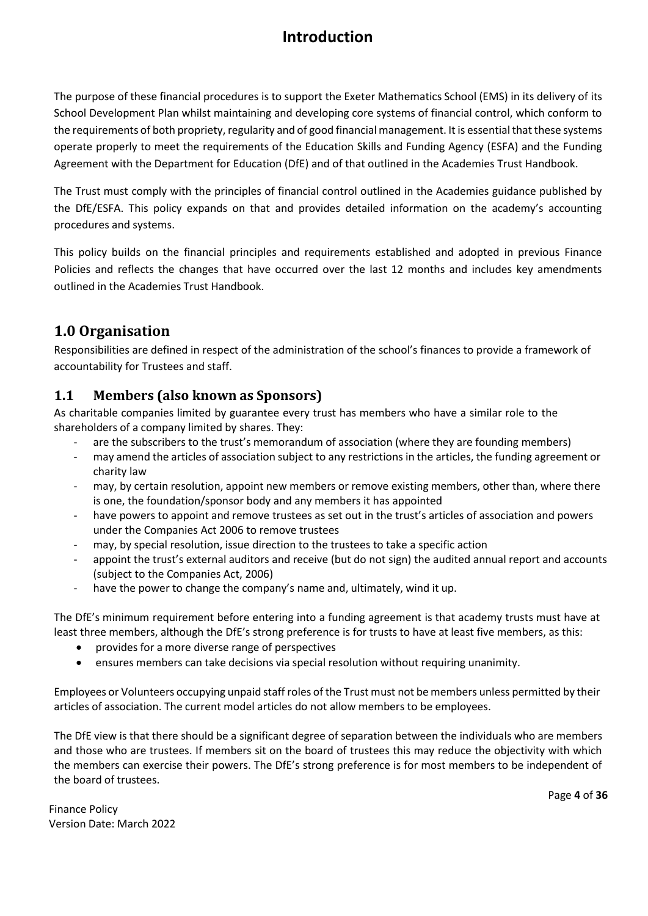# **Introduction**

The purpose of these financial procedures is to support the Exeter Mathematics School (EMS) in its delivery of its School Development Plan whilst maintaining and developing core systems of financial control, which conform to the requirements of both propriety, regularity and of good financial management. It is essential that these systems operate properly to meet the requirements of the Education Skills and Funding Agency (ESFA) and the Funding Agreement with the Department for Education (DfE) and of that outlined in the Academies Trust Handbook.

The Trust must comply with the principles of financial control outlined in the Academies guidance published by the DfE/ESFA. This policy expands on that and provides detailed information on the academy's accounting procedures and systems.

This policy builds on the financial principles and requirements established and adopted in previous Finance Policies and reflects the changes that have occurred over the last 12 months and includes key amendments outlined in the Academies Trust Handbook.

# <span id="page-3-0"></span>**1.0 Organisation**

Responsibilities are defined in respect of the administration of the school's finances to provide a framework of accountability for Trustees and staff.

# <span id="page-3-1"></span>**1.1 Members (also known as Sponsors)**

As charitable companies limited by guarantee every trust has members who have a similar role to the shareholders of a company limited by shares. They:

- are the subscribers to the trust's memorandum of association (where they are founding members)
- may amend the articles of association subject to any restrictions in the articles, the funding agreement or charity law
- may, by certain resolution, appoint new members or remove existing members, other than, where there is one, the foundation/sponsor body and any members it has appointed
- have powers to appoint and remove trustees as set out in the trust's articles of association and powers under the Companies Act 2006 to remove trustees
- may, by special resolution, issue direction to the trustees to take a specific action
- appoint the trust's external auditors and receive (but do not sign) the audited annual report and accounts (subject to the Companies Act, 2006)
- have the power to change the company's name and, ultimately, wind it up.

The DfE's minimum requirement before entering into a funding agreement is that academy trusts must have at least three members, although the DfE's strong preference is for trusts to have at least five members, as this:

- provides for a more diverse range of perspectives
- ensures members can take decisions via special resolution without requiring unanimity.

Employees or Volunteers occupying unpaid staff roles of the Trust must not be members unless permitted by their articles of association. The current model articles do not allow members to be employees.

The DfE view is that there should be a significant degree of separation between the individuals who are members and those who are trustees. If members sit on the board of trustees this may reduce the objectivity with which the members can exercise their powers. The DfE's strong preference is for most members to be independent of the board of trustees.

Finance Policy Version Date: March 2022 Page **4** of **36**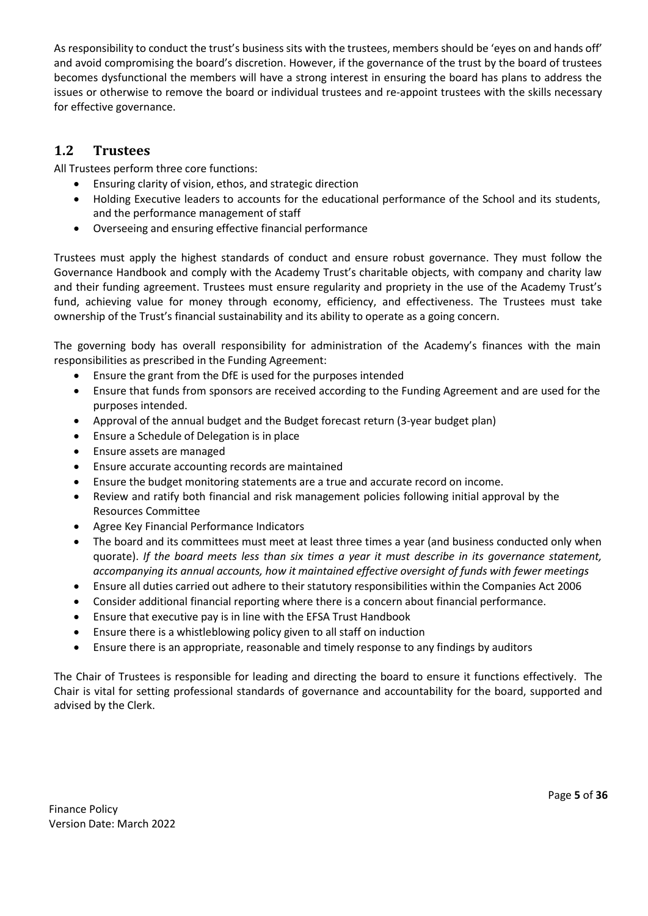As responsibility to conduct the trust's business sits with the trustees, members should be 'eyes on and hands off' and avoid compromising the board's discretion. However, if the governance of the trust by the board of trustees becomes dysfunctional the members will have a strong interest in ensuring the board has plans to address the issues or otherwise to remove the board or individual trustees and re-appoint trustees with the skills necessary for effective governance.

#### <span id="page-4-0"></span>**1.2 Trustees**

All Trustees perform three core functions:

- Ensuring clarity of vision, ethos, and strategic direction
- Holding Executive leaders to accounts for the educational performance of the School and its students, and the performance management of staff
- Overseeing and ensuring effective financial performance

Trustees must apply the highest standards of conduct and ensure robust governance. They must follow the Governance Handbook and comply with the Academy Trust's charitable objects, with company and charity law and their funding agreement. Trustees must ensure regularity and propriety in the use of the Academy Trust's fund, achieving value for money through economy, efficiency, and effectiveness. The Trustees must take ownership of the Trust's financial sustainability and its ability to operate as a going concern.

The governing body has overall responsibility for administration of the Academy's finances with the main responsibilities as prescribed in the Funding Agreement:

- Ensure the grant from the DfE is used for the purposes intended
- Ensure that funds from sponsors are received according to the Funding Agreement and are used for the purposes intended.
- Approval of the annual budget and the Budget forecast return (3-year budget plan)
- Ensure a Schedule of Delegation is in place
- Ensure assets are managed
- Ensure accurate accounting records are maintained
- Ensure the budget monitoring statements are a true and accurate record on income.
- Review and ratify both financial and risk management policies following initial approval by the Resources Committee
- Agree Key Financial Performance Indicators
- The board and its committees must meet at least three times a year (and business conducted only when quorate). *If the board meets less than six times a year it must describe in its governance statement, accompanying its annual accounts, how it maintained effective oversight of funds with fewer meetings*
- Ensure all duties carried out adhere to their statutory responsibilities within the Companies Act 2006
- Consider additional financial reporting where there is a concern about financial performance.
- Ensure that executive pay is in line with the EFSA Trust Handbook
- Ensure there is a whistleblowing policy given to all staff on induction
- Ensure there is an appropriate, reasonable and timely response to any findings by auditors

The Chair of Trustees is responsible for leading and directing the board to ensure it functions effectively. The Chair is vital for setting professional standards of governance and accountability for the board, supported and advised by the Clerk.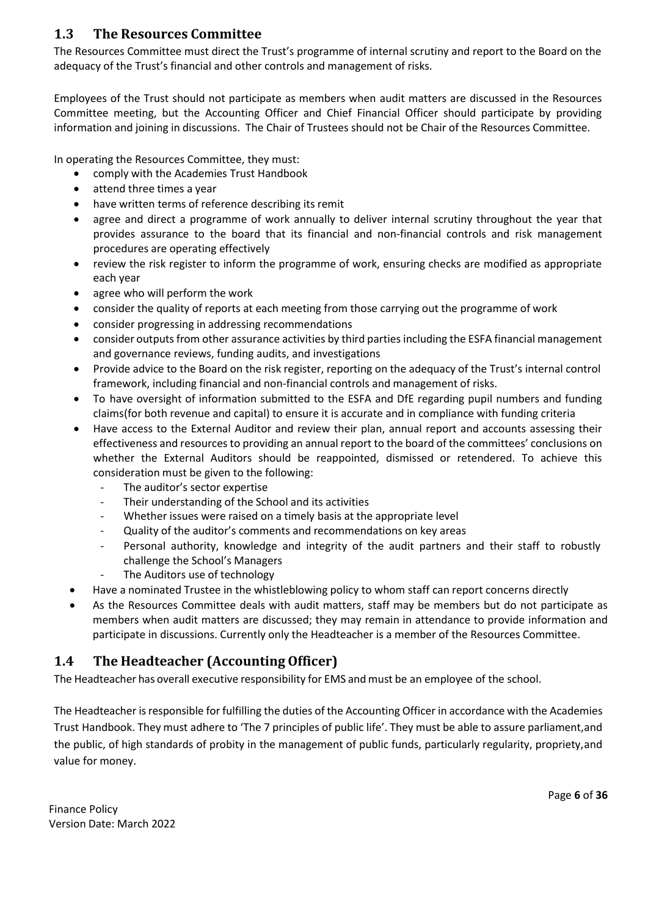#### <span id="page-5-0"></span>**1.3 The Resources Committee**

The Resources Committee must direct the Trust's programme of internal scrutiny and report to the Board on the adequacy of the Trust's financial and other controls and management of risks.

Employees of the Trust should not participate as members when audit matters are discussed in the Resources Committee meeting, but the Accounting Officer and Chief Financial Officer should participate by providing information and joining in discussions. The Chair of Trustees should not be Chair of the Resources Committee.

In operating the Resources Committee, they must:

- comply with the Academies Trust Handbook
- attend three times a year
- have written terms of reference describing its remit
- agree and direct a programme of work annually to deliver internal scrutiny throughout the year that provides assurance to the board that its financial and non-financial controls and risk management procedures are operating effectively
- review the risk register to inform the programme of work, ensuring checks are modified as appropriate each year
- agree who will perform the work
- consider the quality of reports at each meeting from those carrying out the programme of work
- consider progressing in addressing recommendations
- consider outputs from other assurance activities by third parties including the ESFA financial management and governance reviews, funding audits, and investigations
- Provide advice to the Board on the risk register, reporting on the adequacy of the Trust's internal control framework, including financial and non-financial controls and management of risks.
- To have oversight of information submitted to the ESFA and DfE regarding pupil numbers and funding claims(for both revenue and capital) to ensure it is accurate and in compliance with funding criteria
- Have access to the External Auditor and review their plan, annual report and accounts assessing their effectiveness and resources to providing an annual report to the board of the committees' conclusions on whether the External Auditors should be reappointed, dismissed or retendered. To achieve this consideration must be given to the following:
	- The auditor's sector expertise
	- Their understanding of the School and its activities
	- Whether issues were raised on a timely basis at the appropriate level
	- Quality of the auditor's comments and recommendations on key areas
	- Personal authority, knowledge and integrity of the audit partners and their staff to robustly challenge the School's Managers
	- The Auditors use of technology
- Have a nominated Trustee in the whistleblowing policy to whom staff can report concerns directly
- As the Resources Committee deals with audit matters, staff may be members but do not participate as members when audit matters are discussed; they may remain in attendance to provide information and participate in discussions. Currently only the Headteacher is a member of the Resources Committee.

# <span id="page-5-1"></span>**1.4 The Headteacher (Accounting Officer)**

The Headteacher has overall executive responsibility for EMS andmust be an employee of the school.

The Headteacher isresponsible for fulfilling the duties of the Accounting Officer in accordance with the Academies Trust Handbook. They must adhere to 'The 7 principles of public life'. They must be able to assure parliament,and the public, of high standards of probity in the management of public funds, particularly regularity, propriety,and value for money.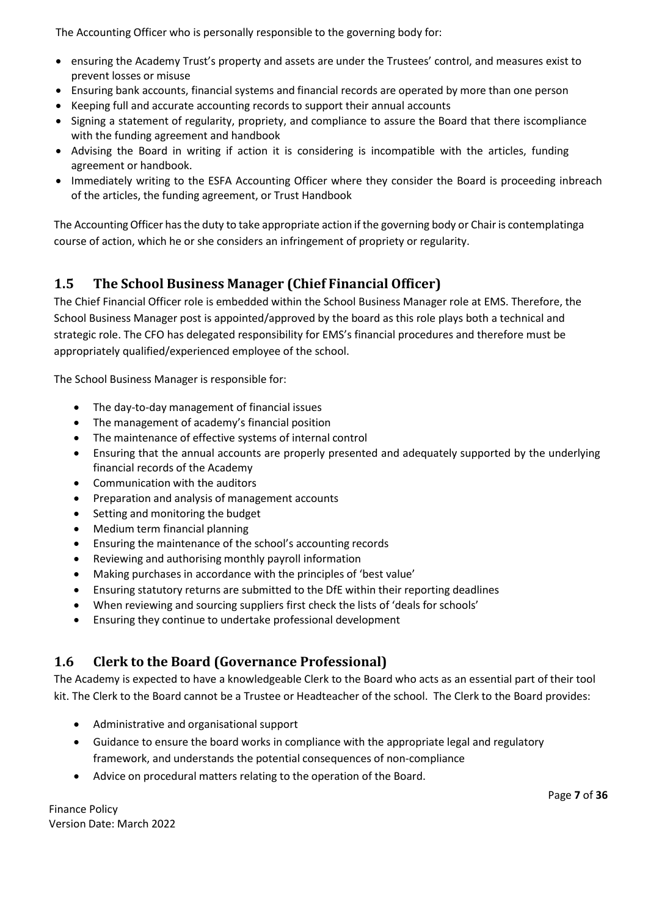The Accounting Officer who is personally responsible to the governing body for:

- ensuring the Academy Trust's property and assets are under the Trustees' control, and measures exist to prevent losses or misuse
- Ensuring bank accounts, financial systems and financial records are operated by more than one person
- Keeping full and accurate accounting records to support their annual accounts
- Signing a statement of regularity, propriety, and compliance to assure the Board that there iscompliance with the funding agreement and handbook
- Advising the Board in writing if action it is considering is incompatible with the articles, funding agreement or handbook.
- Immediately writing to the ESFA Accounting Officer where they consider the Board is proceeding inbreach of the articles, the funding agreement, or Trust Handbook

The Accounting Officer has the duty to take appropriate action if the governing body or Chair is contemplatinga course of action, which he or she considers an infringement of propriety or regularity.

# <span id="page-6-0"></span>**1.5 The School Business Manager (Chief Financial Officer)**

The Chief Financial Officer role is embedded within the School Business Manager role at EMS. Therefore, the School Business Manager post is appointed/approved by the board as this role plays both a technical and strategic role. The CFO has delegated responsibility for EMS's financial procedures and therefore must be appropriately qualified/experienced employee of the school.

The School Business Manager is responsible for:

- The day-to-day management of financial issues
- The management of academy's financial position
- The maintenance of effective systems of internal control
- Ensuring that the annual accounts are properly presented and adequately supported by the underlying financial records of the Academy
- Communication with the auditors
- Preparation and analysis of management accounts
- Setting and monitoring the budget
- Medium term financial planning
- Ensuring the maintenance of the school's accounting records
- Reviewing and authorising monthly payroll information
- Making purchases in accordance with the principles of 'best value'
- Ensuring statutory returns are submitted to the DfE within their reporting deadlines
- When reviewing and sourcing suppliers first check the lists of 'deals for schools'
- Ensuring they continue to undertake professional development

# <span id="page-6-1"></span>**1.6 Clerk to the Board (Governance Professional)**

The Academy is expected to have a knowledgeable Clerk to the Board who acts as an essential part of their tool kit. The Clerk to the Board cannot be a Trustee or Headteacher of the school. The Clerk to the Board provides:

- Administrative and organisational support
- Guidance to ensure the board works in compliance with the appropriate legal and regulatory framework, and understands the potential consequences of non-compliance
- Advice on procedural matters relating to the operation of the Board.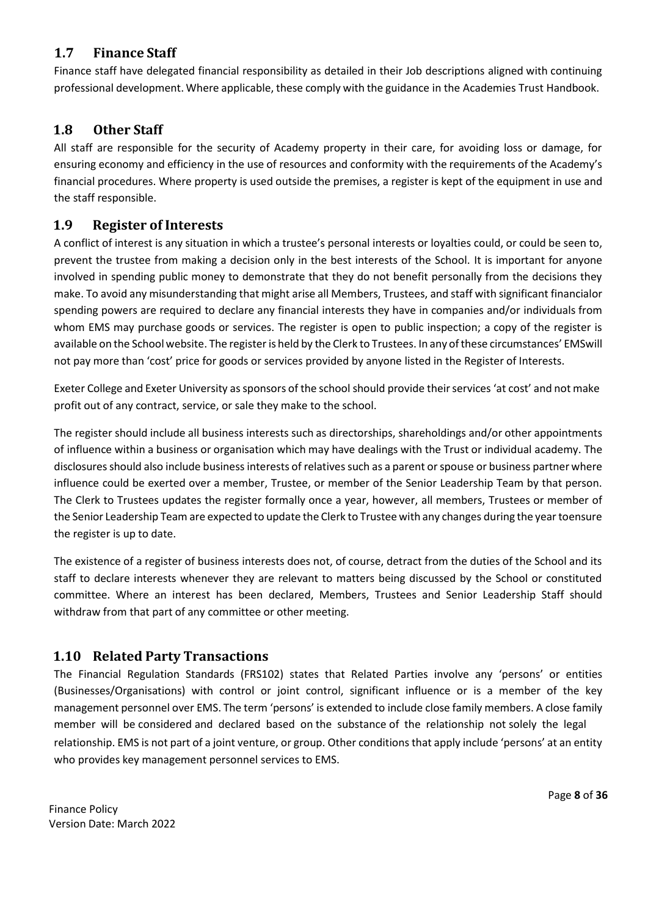## <span id="page-7-0"></span>**1.7 Finance Staff**

Finance staff have delegated financial responsibility as detailed in their Job descriptions aligned with continuing professional development. Where applicable, these comply with the guidance in the Academies Trust Handbook.

#### <span id="page-7-1"></span>**1.8 Other Staff**

All staff are responsible for the security of Academy property in their care, for avoiding loss or damage, for ensuring economy and efficiency in the use of resources and conformity with the requirements of the Academy's financial procedures. Where property is used outside the premises, a register is kept of the equipment in use and the staff responsible.

#### <span id="page-7-2"></span>**1.9 Register of Interests**

A conflict of interest is any situation in which a trustee's personal interests or loyalties could, or could be seen to, prevent the trustee from making a decision only in the best interests of the School. It is important for anyone involved in spending public money to demonstrate that they do not benefit personally from the decisions they make. To avoid any misunderstanding that might arise all Members, Trustees, and staff with significant financialor spending powers are required to declare any financial interests they have in companies and/or individuals from whom EMS may purchase goods or services. The register is open to public inspection; a copy of the register is available on the School website. The register is held by the Clerk to Trustees. In any of these circumstances' EMSwill not pay more than 'cost' price for goods or services provided by anyone listed in the Register of Interests.

Exeter College and Exeter University as sponsors of the school should provide their services 'at cost' and not make profit out of any contract, service, or sale they make to the school.

The register should include all business interests such as directorships, shareholdings and/or other appointments of influence within a business or organisation which may have dealings with the Trust or individual academy. The disclosures should also include business interests of relatives such as a parent or spouse or business partner where influence could be exerted over a member, Trustee, or member of the Senior Leadership Team by that person. The Clerk to Trustees updates the register formally once a year, however, all members, Trustees or member of the Senior Leadership Team are expected to update the Clerk to Trustee with any changes during the yeartoensure the register is up to date.

The existence of a register of business interests does not, of course, detract from the duties of the School and its staff to declare interests whenever they are relevant to matters being discussed by the School or constituted committee. Where an interest has been declared, Members, Trustees and Senior Leadership Staff should withdraw from that part of any committee or other meeting.

#### <span id="page-7-3"></span>**1.10 Related Party Transactions**

The Financial Regulation Standards (FRS102) states that Related Parties involve any 'persons' or entities (Businesses/Organisations) with control or joint control, significant influence or is a member of the key management personnel over EMS. The term 'persons' is extended to include close family members. A close family member will be considered and declared based on the substance of the relationship not solely the legal relationship. EMS is not part of a joint venture, or group. Other conditions that apply include 'persons' at an entity who provides key management personnel services to EMS.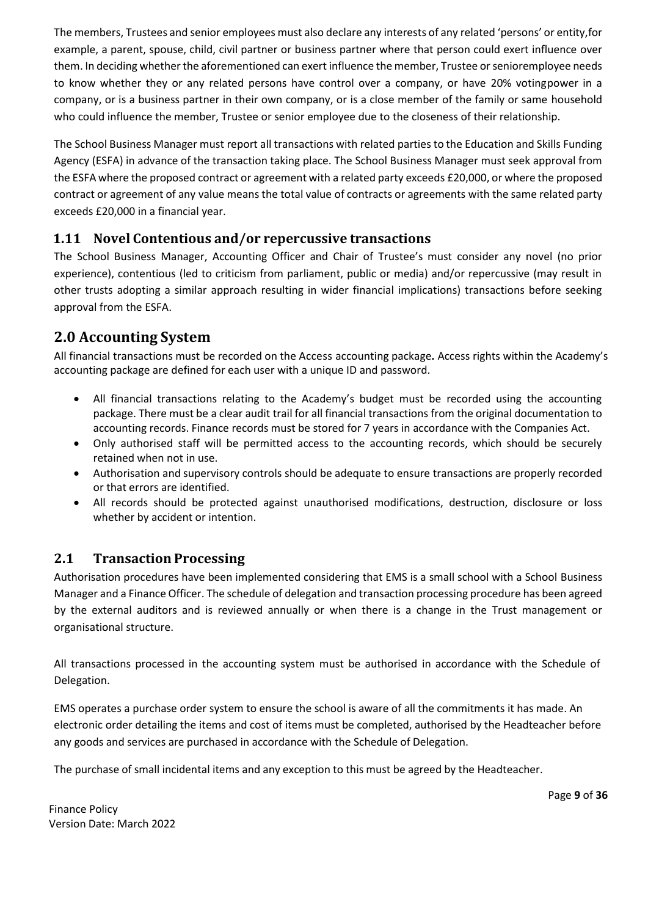The members, Trustees and senior employees must also declare any interests of any related 'persons' or entity,for example, a parent, spouse, child, civil partner or business partner where that person could exert influence over them. In deciding whether the aforementioned can exert influence the member, Trustee or senioremployee needs to know whether they or any related persons have control over a company, or have 20% votingpower in a company, or is a business partner in their own company, or is a close member of the family or same household who could influence the member, Trustee or senior employee due to the closeness of their relationship.

The School Business Manager must report all transactions with related parties to the Education and Skills Funding Agency (ESFA) in advance of the transaction taking place. The School Business Manager must seek approval from the ESFA where the proposed contract or agreement with a related party exceeds £20,000, or where the proposed contract or agreement of any value means the total value of contracts or agreements with the same related party exceeds £20,000 in a financial year.

# <span id="page-8-0"></span>**1.11 Novel Contentious and/or repercussive transactions**

The School Business Manager, Accounting Officer and Chair of Trustee's must consider any novel (no prior experience), contentious (led to criticism from parliament, public or media) and/or repercussive (may result in other trusts adopting a similar approach resulting in wider financial implications) transactions before seeking approval from the ESFA.

# <span id="page-8-1"></span>**2.0 Accounting System**

All financial transactions must be recorded on the Access accounting package**.** Access rights within the Academy's accounting package are defined for each user with a unique ID and password.

- All financial transactions relating to the Academy's budget must be recorded using the accounting package. There must be a clear audit trail for all financial transactions from the original documentation to accounting records. Finance records must be stored for 7 years in accordance with the Companies Act.
- Only authorised staff will be permitted access to the accounting records, which should be securely retained when not in use.
- Authorisation and supervisory controls should be adequate to ensure transactions are properly recorded or that errors are identified.
- All records should be protected against unauthorised modifications, destruction, disclosure or loss whether by accident or intention.

#### <span id="page-8-2"></span>**2.1 Transaction Processing**

Authorisation procedures have been implemented considering that EMS is a small school with a School Business Manager and a Finance Officer. The schedule of delegation and transaction processing procedure has been agreed by the external auditors and is reviewed annually or when there is a change in the Trust management or organisational structure.

All transactions processed in the accounting system must be authorised in accordance with the Schedule of Delegation.

EMS operates a purchase order system to ensure the school is aware of all the commitments it has made. An electronic order detailing the items and cost of items must be completed, authorised by the Headteacher before any goods and services are purchased in accordance with the Schedule of Delegation.

The purchase of small incidental items and any exception to this must be agreed by the Headteacher.

Page **9** of **36**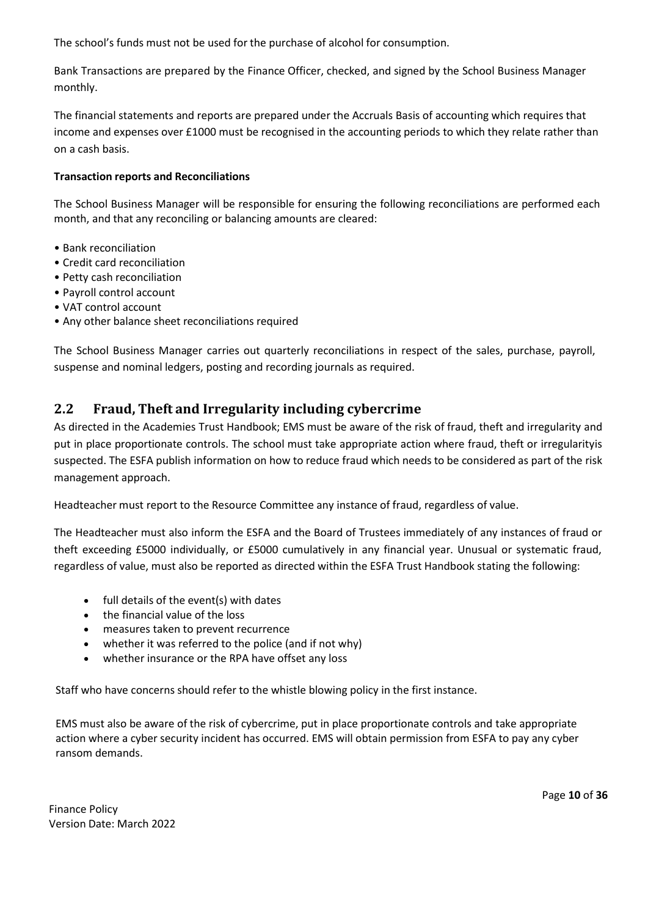The school's funds must not be used for the purchase of alcohol for consumption.

Bank Transactions are prepared by the Finance Officer, checked, and signed by the School Business Manager monthly.

The financial statements and reports are prepared under the Accruals Basis of accounting which requires that income and expenses over £1000 must be recognised in the accounting periods to which they relate rather than on a cash basis.

#### **Transaction reports and Reconciliations**

The School Business Manager will be responsible for ensuring the following reconciliations are performed each month, and that any reconciling or balancing amounts are cleared:

- Bank reconciliation
- Credit card reconciliation
- Petty cash reconciliation
- Payroll control account
- VAT control account
- Any other balance sheet reconciliations required

The School Business Manager carries out quarterly reconciliations in respect of the sales, purchase, payroll, suspense and nominal ledgers, posting and recording journals as required.

#### <span id="page-9-0"></span>**2.2 Fraud, Theft and Irregularity including cybercrime**

As directed in the Academies Trust Handbook; EMS must be aware of the risk of fraud, theft and irregularity and put in place proportionate controls. The school must take appropriate action where fraud, theft or irregularityis suspected. The ESFA publish information on how to reduce fraud which needs to be considered as part of the risk management approach.

Headteacher must report to the Resource Committee any instance of fraud, regardless of value.

The Headteacher must also inform the ESFA and the Board of Trustees immediately of any instances of fraud or theft exceeding £5000 individually, or £5000 cumulatively in any financial year. Unusual or systematic fraud, regardless of value, must also be reported as directed within the ESFA Trust Handbook stating the following:

- full details of the event(s) with dates
- the financial value of the loss
- measures taken to prevent recurrence
- whether it was referred to the police (and if not why)
- whether insurance or the RPA have offset any loss

Staff who have concerns should refer to the whistle blowing policy in the first instance.

EMS must also be aware of the risk of cybercrime, put in place proportionate controls and take appropriate action where a cyber security incident has occurred. EMS will obtain permission from ESFA to pay any cyber ransom demands.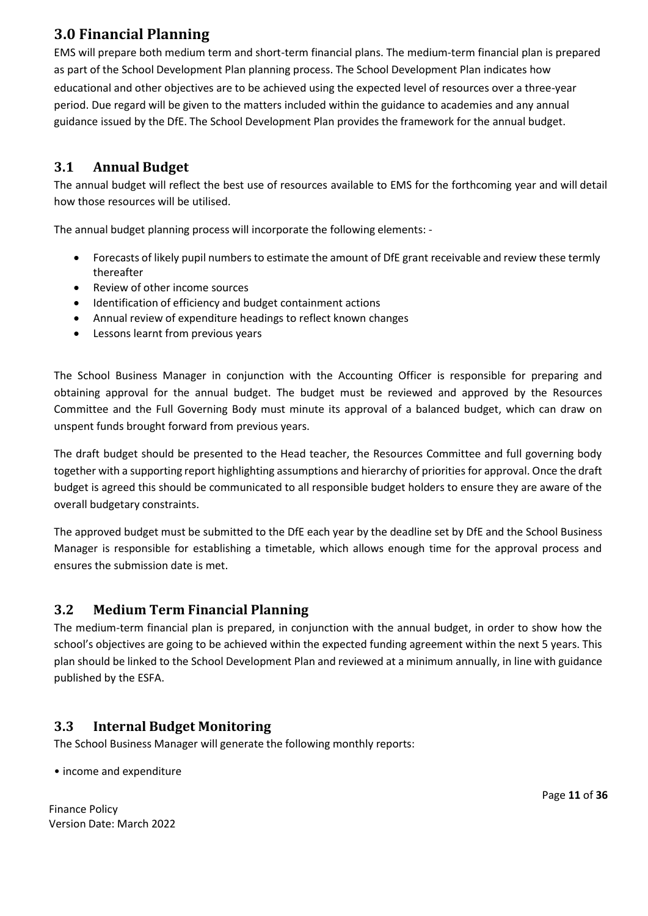# <span id="page-10-0"></span>**3.0 Financial Planning**

EMS will prepare both medium term and short-term financial plans. The medium-term financial plan is prepared as part of the School Development Plan planning process. The School Development Plan indicates how educational and other objectives are to be achieved using the expected level of resources over a three-year period. Due regard will be given to the matters included within the guidance to academies and any annual guidance issued by the DfE. The School Development Plan provides the framework for the annual budget.

# <span id="page-10-1"></span>**3.1 Annual Budget**

The annual budget will reflect the best use of resources available to EMS for the forthcoming year and will detail how those resources will be utilised.

The annual budget planning process will incorporate the following elements: -

- Forecasts of likely pupil numbers to estimate the amount of DfE grant receivable and review these termly thereafter
- Review of other income sources
- Identification of efficiency and budget containment actions
- Annual review of expenditure headings to reflect known changes
- Lessons learnt from previous years

The School Business Manager in conjunction with the Accounting Officer is responsible for preparing and obtaining approval for the annual budget. The budget must be reviewed and approved by the Resources Committee and the Full Governing Body must minute its approval of a balanced budget, which can draw on unspent funds brought forward from previous years.

The draft budget should be presented to the Head teacher, the Resources Committee and full governing body together with a supporting report highlighting assumptions and hierarchy of priorities for approval. Once the draft budget is agreed this should be communicated to all responsible budget holders to ensure they are aware of the overall budgetary constraints.

The approved budget must be submitted to the DfE each year by the deadline set by DfE and the School Business Manager is responsible for establishing a timetable, which allows enough time for the approval process and ensures the submission date is met.

#### <span id="page-10-2"></span>**3.2 Medium Term Financial Planning**

The medium-term financial plan is prepared, in conjunction with the annual budget, in order to show how the school's objectives are going to be achieved within the expected funding agreement within the next 5 years. This plan should be linked to the School Development Plan and reviewed at a minimum annually, in line with guidance published by the ESFA.

# <span id="page-10-3"></span>**3.3 Internal Budget Monitoring**

The School Business Manager will generate the following monthly reports:

• income and expenditure

Finance Policy Version Date: March 2022 Page **11** of **36**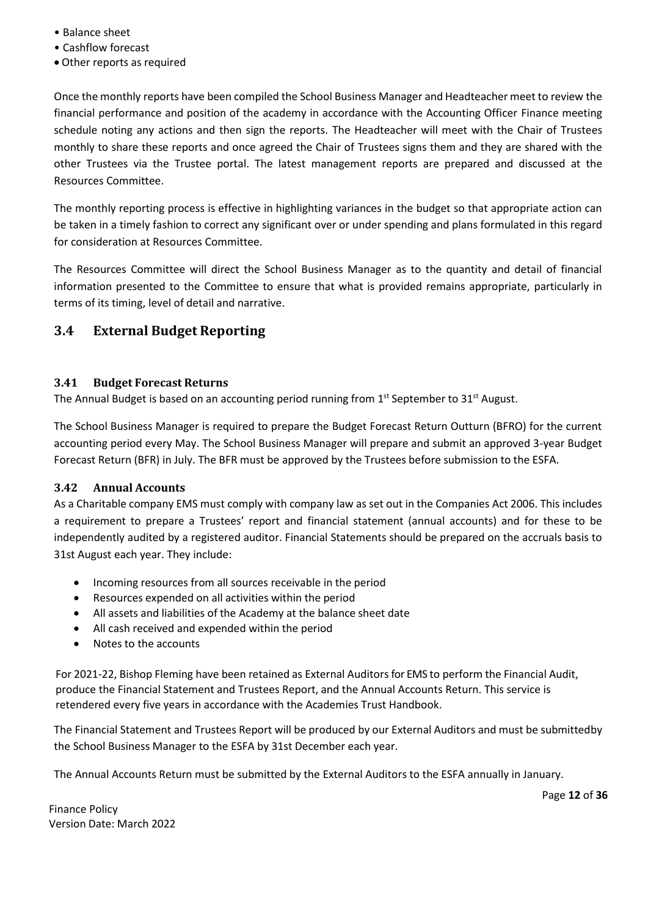- Balance sheet
- Cashflow forecast
- Other reports as required

Once the monthly reports have been compiled the School Business Manager and Headteacher meet to review the financial performance and position of the academy in accordance with the Accounting Officer Finance meeting schedule noting any actions and then sign the reports. The Headteacher will meet with the Chair of Trustees monthly to share these reports and once agreed the Chair of Trustees signs them and they are shared with the other Trustees via the Trustee portal. The latest management reports are prepared and discussed at the Resources Committee.

The monthly reporting process is effective in highlighting variances in the budget so that appropriate action can be taken in a timely fashion to correct any significant over or under spending and plans formulated in this regard for consideration at Resources Committee.

The Resources Committee will direct the School Business Manager as to the quantity and detail of financial information presented to the Committee to ensure that what is provided remains appropriate, particularly in terms of its timing, level of detail and narrative.

#### <span id="page-11-0"></span>**3.4 External Budget Reporting**

#### <span id="page-11-1"></span>**3.41 Budget Forecast Returns**

The Annual Budget is based on an accounting period running from  $1^{\text{st}}$  September to 31 $^{\text{st}}$  August.

The School Business Manager is required to prepare the Budget Forecast Return Outturn (BFRO) for the current accounting period every May. The School Business Manager will prepare and submit an approved 3-year Budget Forecast Return (BFR) in July. The BFR must be approved by the Trustees before submission to the ESFA.

#### <span id="page-11-2"></span>**3.42 Annual Accounts**

As a Charitable company EMS must comply with company law as set out in the Companies Act 2006. This includes a requirement to prepare a Trustees' report and financial statement (annual accounts) and for these to be independently audited by a registered auditor. Financial Statements should be prepared on the accruals basis to 31st August each year. They include:

- Incoming resources from all sources receivable in the period
- Resources expended on all activities within the period
- All assets and liabilities of the Academy at the balance sheet date
- All cash received and expended within the period
- Notes to the accounts

For 2021-22, Bishop Fleming have been retained as External Auditorsfor EMS to perform the Financial Audit, produce the Financial Statement and Trustees Report, and the Annual Accounts Return. This service is retendered every five years in accordance with the Academies Trust Handbook.

The Financial Statement and Trustees Report will be produced by our External Auditors and must be submittedby the School Business Manager to the ESFA by 31st December each year.

The Annual Accounts Return must be submitted by the External Auditors to the ESFA annually in January.

Page **12** of **36**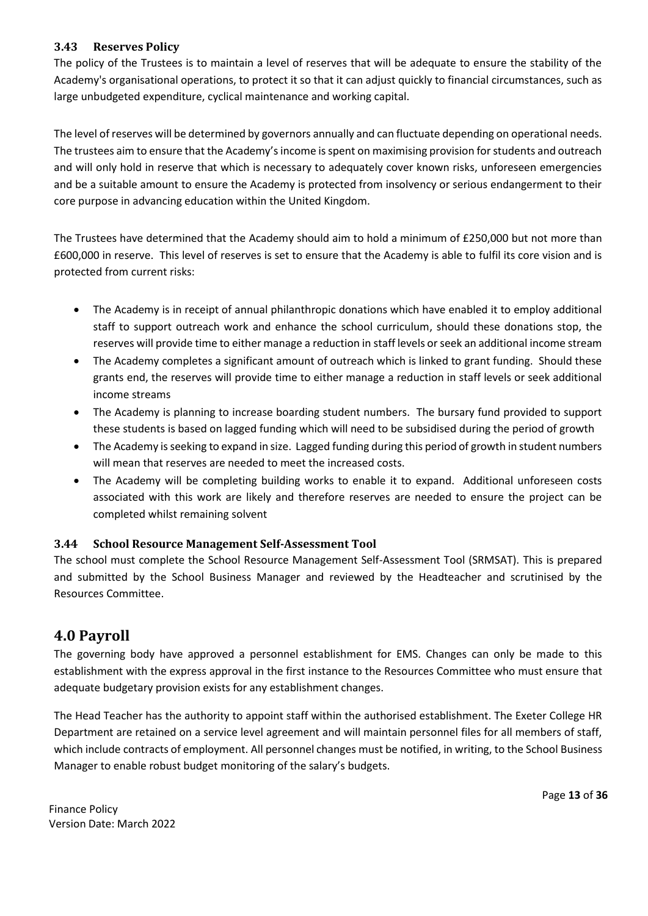#### <span id="page-12-0"></span>**3.43 Reserves Policy**

The policy of the Trustees is to maintain a level of reserves that will be adequate to ensure the stability of the Academy's organisational operations, to protect it so that it can adjust quickly to financial circumstances, such as large unbudgeted expenditure, cyclical maintenance and working capital.

The level of reserves will be determined by governors annually and can fluctuate depending on operational needs. The trustees aim to ensure that the Academy's income is spent on maximising provision for students and outreach and will only hold in reserve that which is necessary to adequately cover known risks, unforeseen emergencies and be a suitable amount to ensure the Academy is protected from insolvency or serious endangerment to their core purpose in advancing education within the United Kingdom.

The Trustees have determined that the Academy should aim to hold a minimum of £250,000 but not more than £600,000 in reserve. This level of reserves is set to ensure that the Academy is able to fulfil its core vision and is protected from current risks:

- The Academy is in receipt of annual philanthropic donations which have enabled it to employ additional staff to support outreach work and enhance the school curriculum, should these donations stop, the reserves will provide time to either manage a reduction in staff levels or seek an additional income stream
- The Academy completes a significant amount of outreach which is linked to grant funding. Should these grants end, the reserves will provide time to either manage a reduction in staff levels or seek additional income streams
- The Academy is planning to increase boarding student numbers. The bursary fund provided to support these students is based on lagged funding which will need to be subsidised during the period of growth
- The Academy is seeking to expand in size. Lagged funding during this period of growth in student numbers will mean that reserves are needed to meet the increased costs.
- The Academy will be completing building works to enable it to expand. Additional unforeseen costs associated with this work are likely and therefore reserves are needed to ensure the project can be completed whilst remaining solvent

#### <span id="page-12-1"></span>**3.44 School Resource Management Self-Assessment Tool**

The school must complete the School Resource Management Self-Assessment Tool (SRMSAT). This is prepared and submitted by the School Business Manager and reviewed by the Headteacher and scrutinised by the Resources Committee.

# <span id="page-12-2"></span>**4.0 Payroll**

The governing body have approved a personnel establishment for EMS. Changes can only be made to this establishment with the express approval in the first instance to the Resources Committee who must ensure that adequate budgetary provision exists for any establishment changes.

The Head Teacher has the authority to appoint staff within the authorised establishment. The Exeter College HR Department are retained on a service level agreement and will maintain personnel files for all members of staff, which include contracts of employment. All personnel changes must be notified, in writing, to the School Business Manager to enable robust budget monitoring of the salary's budgets.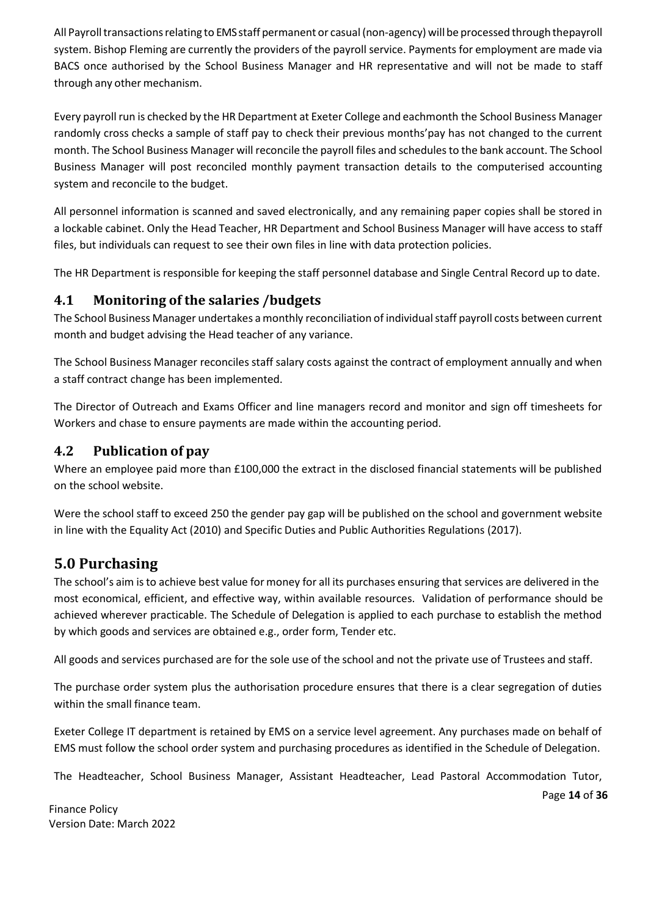All Payroll transactions relating to EMS staff permanent or casual (non-agency) will be processed through thepayroll system. Bishop Fleming are currently the providers of the payroll service. Payments for employment are made via BACS once authorised by the School Business Manager and HR representative and will not be made to staff through any other mechanism.

Every payroll run is checked by the HR Department at Exeter College and eachmonth the School Business Manager randomly cross checks a sample of staff pay to check their previous months'pay has not changed to the current month. The School Business Manager will reconcile the payroll files and schedules to the bank account. The School Business Manager will post reconciled monthly payment transaction details to the computerised accounting system and reconcile to the budget.

All personnel information is scanned and saved electronically, and any remaining paper copies shall be stored in a lockable cabinet. Only the Head Teacher, HR Department and School Business Manager will have access to staff files, but individuals can request to see their own files in line with data protection policies.

The HR Department is responsible for keeping the staff personnel database and Single Central Record up to date.

#### <span id="page-13-0"></span>**4.1 Monitoring of the salaries /budgets**

The School Business Manager undertakes a monthly reconciliation of individual staff payroll costs between current month and budget advising the Head teacher of any variance.

The School Business Manager reconciles staff salary costs against the contract of employment annually and when a staff contract change has been implemented.

The Director of Outreach and Exams Officer and line managers record and monitor and sign off timesheets for Workers and chase to ensure payments are made within the accounting period.

#### <span id="page-13-1"></span>**4.2 Publication of pay**

Where an employee paid more than £100,000 the extract in the disclosed financial statements will be published on the school website.

Were the school staff to exceed 250 the gender pay gap will be published on the school and government website in line with the Equality Act (2010) and Specific Duties and Public Authorities Regulations (2017).

# <span id="page-13-2"></span>**5.0 Purchasing**

The school's aim isto achieve best value for money for all its purchases ensuring that services are delivered in the most economical, efficient, and effective way, within available resources. Validation of performance should be achieved wherever practicable. The Schedule of Delegation is applied to each purchase to establish the method by which goods and services are obtained e.g., order form, Tender etc.

All goods and services purchased are for the sole use of the school and not the private use of Trustees and staff.

The purchase order system plus the authorisation procedure ensures that there is a clear segregation of duties within the small finance team.

Exeter College IT department is retained by EMS on a service level agreement. Any purchases made on behalf of EMS must follow the school order system and purchasing procedures as identified in the Schedule of Delegation.

The Headteacher, School Business Manager, Assistant Headteacher, Lead Pastoral Accommodation Tutor,

Page **14** of **36**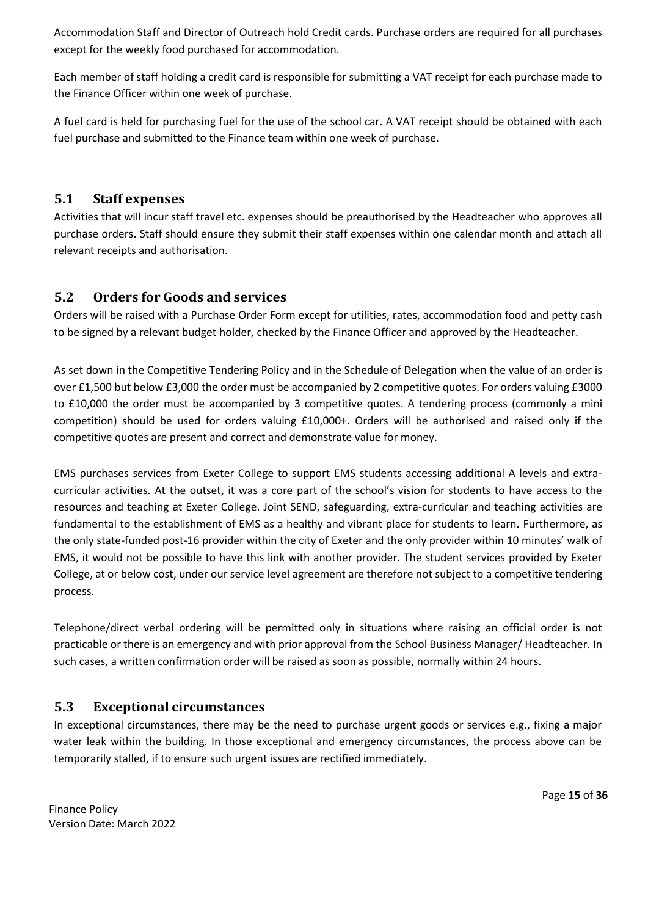Accommodation Staff and Director of Outreach hold Credit cards. Purchase orders are required for all purchases except for the weekly food purchased for accommodation.

Each member of staff holding a credit card is responsible for submitting a VAT receipt for each purchase made to the Finance Officer within one week of purchase.

A fuel card is held for purchasing fuel for the use of the school car. A VAT receipt should be obtained with each fuel purchase and submitted to the Finance team within one week of purchase.

#### <span id="page-14-0"></span>**5.1 Staff expenses**

Activities that will incur staff travel etc. expenses should be preauthorised by the Headteacher who approves all purchase orders. Staff should ensure they submit their staff expenses within one calendar month and attach all relevant receipts and authorisation.

#### <span id="page-14-1"></span>**5.2 Orders for Goods and services**

Orders will be raised with a Purchase Order Form except for utilities, rates, accommodation food and petty cash to be signed by a relevant budget holder, checked by the Finance Officer and approved by the Headteacher.

As set down in the Competitive Tendering Policy and in the Schedule of Delegation when the value of an order is over £1,500 but below £3,000 the order must be accompanied by 2 competitive quotes. For orders valuing £3000 to £10,000 the order must be accompanied by 3 competitive quotes. A tendering process (commonly a mini competition) should be used for orders valuing £10,000+. Orders will be authorised and raised only if the competitive quotes are present and correct and demonstrate value for money.

EMS purchases services from Exeter College to support EMS students accessing additional A levels and extracurricular activities. At the outset, it was a core part of the school's vision for students to have access to the resources and teaching at Exeter College. Joint SEND, safeguarding, extra-curricular and teaching activities are fundamental to the establishment of EMS as a healthy and vibrant place for students to learn. Furthermore, as the only state-funded post-16 provider within the city of Exeter and the only provider within 10 minutes' walk of EMS, it would not be possible to have this link with another provider. The student services provided by Exeter College, at or below cost, under our service level agreement are therefore not subject to a competitive tendering process.

Telephone/direct verbal ordering will be permitted only in situations where raising an official order is not practicable or there is an emergency and with prior approval from the School Business Manager/ Headteacher. In such cases, a written confirmation order will be raised as soon as possible, normally within 24 hours.

#### <span id="page-14-2"></span>**5.3 Exceptional circumstances**

In exceptional circumstances, there may be the need to purchase urgent goods or services e.g., fixing a major water leak within the building. In those exceptional and emergency circumstances, the process above can be temporarily stalled, if to ensure such urgent issues are rectified immediately.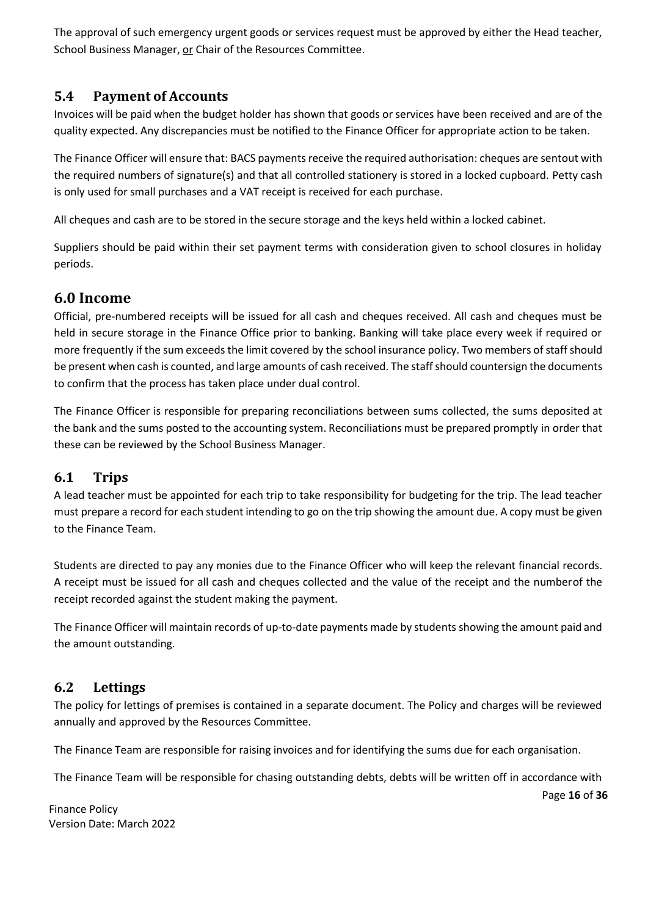The approval of such emergency urgent goods or services request must be approved by either the Head teacher, School Business Manager, or Chair of the Resources Committee.

#### <span id="page-15-0"></span>**5.4 Payment of Accounts**

Invoices will be paid when the budget holder has shown that goods or services have been received and are of the quality expected. Any discrepancies must be notified to the Finance Officer for appropriate action to be taken.

The Finance Officer will ensure that: BACS payments receive the required authorisation: cheques are sentout with the required numbers of signature(s) and that all controlled stationery is stored in a locked cupboard. Petty cash is only used for small purchases and a VAT receipt is received for each purchase.

All cheques and cash are to be stored in the secure storage and the keys held within a locked cabinet.

Suppliers should be paid within their set payment terms with consideration given to school closures in holiday periods.

# <span id="page-15-1"></span>**6.0 Income**

Official, pre-numbered receipts will be issued for all cash and cheques received. All cash and cheques must be held in secure storage in the Finance Office prior to banking. Banking will take place every week if required or more frequently if the sum exceeds the limit covered by the school insurance policy. Two members ofstaff should be present when cash is counted, and large amounts of cash received. The staffshould countersign the documents to confirm that the process has taken place under dual control.

The Finance Officer is responsible for preparing reconciliations between sums collected, the sums deposited at the bank and the sums posted to the accounting system. Reconciliations must be prepared promptly in order that these can be reviewed by the School Business Manager.

#### <span id="page-15-2"></span>**6.1 Trips**

A lead teacher must be appointed for each trip to take responsibility for budgeting for the trip. The lead teacher must prepare a record for each student intending to go on the trip showing the amount due. A copy must be given to the Finance Team.

Students are directed to pay any monies due to the Finance Officer who will keep the relevant financial records. A receipt must be issued for all cash and cheques collected and the value of the receipt and the numberof the receipt recorded against the student making the payment.

The Finance Officer will maintain records of up-to-date payments made by students showing the amount paid and the amount outstanding.

#### <span id="page-15-3"></span>**6.2 Lettings**

The policy for lettings of premises is contained in a separate document. The Policy and charges will be reviewed annually and approved by the Resources Committee.

The Finance Team are responsible for raising invoices and for identifying the sums due for each organisation.

The Finance Team will be responsible for chasing outstanding debts, debts will be written off in accordance with

Page **16** of **36**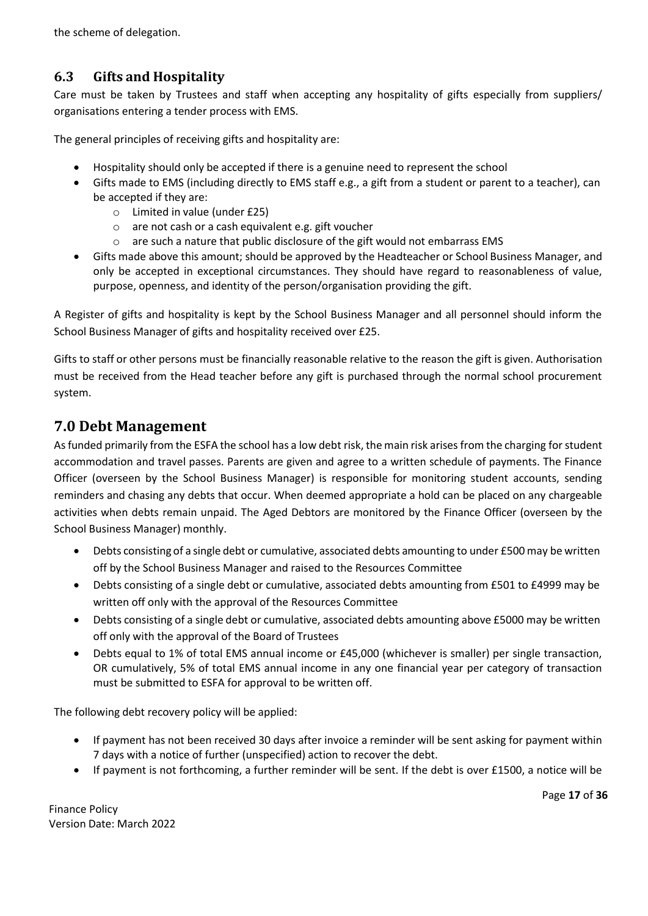the scheme of delegation.

# <span id="page-16-0"></span>**6.3 Gifts and Hospitality**

Care must be taken by Trustees and staff when accepting any hospitality of gifts especially from suppliers/ organisations entering a tender process with EMS.

The general principles of receiving gifts and hospitality are:

- Hospitality should only be accepted if there is a genuine need to represent the school
- Gifts made to EMS (including directly to EMS staff e.g., a gift from a student or parent to a teacher), can be accepted if they are:
	- o Limited in value (under £25)
	- o are not cash or a cash equivalent e.g. gift voucher
	- o are such a nature that public disclosure of the gift would not embarrass EMS
- Gifts made above this amount; should be approved by the Headteacher or School Business Manager, and only be accepted in exceptional circumstances. They should have regard to reasonableness of value, purpose, openness, and identity of the person/organisation providing the gift.

A Register of gifts and hospitality is kept by the School Business Manager and all personnel should inform the School Business Manager of gifts and hospitality received over £25.

Gifts to staff or other persons must be financially reasonable relative to the reason the gift is given. Authorisation must be received from the Head teacher before any gift is purchased through the normal school procurement system.

# <span id="page-16-1"></span>**7.0 Debt Management**

As funded primarily from the ESFA the school has a low debt risk, the main risk arises from the charging for student accommodation and travel passes. Parents are given and agree to a written schedule of payments. The Finance Officer (overseen by the School Business Manager) is responsible for monitoring student accounts, sending reminders and chasing any debts that occur. When deemed appropriate a hold can be placed on any chargeable activities when debts remain unpaid. The Aged Debtors are monitored by the Finance Officer (overseen by the School Business Manager) monthly.

- Debts consisting of a single debt or cumulative, associated debts amounting to under £500 may be written off by the School Business Manager and raised to the Resources Committee
- Debts consisting of a single debt or cumulative, associated debts amounting from £501 to £4999 may be written off only with the approval of the Resources Committee
- Debts consisting of a single debt or cumulative, associated debts amounting above £5000 may be written off only with the approval of the Board of Trustees
- Debts equal to 1% of total EMS annual income or £45,000 (whichever is smaller) per single transaction, OR cumulatively, 5% of total EMS annual income in any one financial year per category of transaction must be submitted to ESFA for approval to be written off.

The following debt recovery policy will be applied:

- If payment has not been received 30 days after invoice a reminder will be sent asking for payment within 7 days with a notice of further (unspecified) action to recover the debt.
- If payment is not forthcoming, a further reminder will be sent. If the debt is over £1500, a notice will be

Page **17** of **36**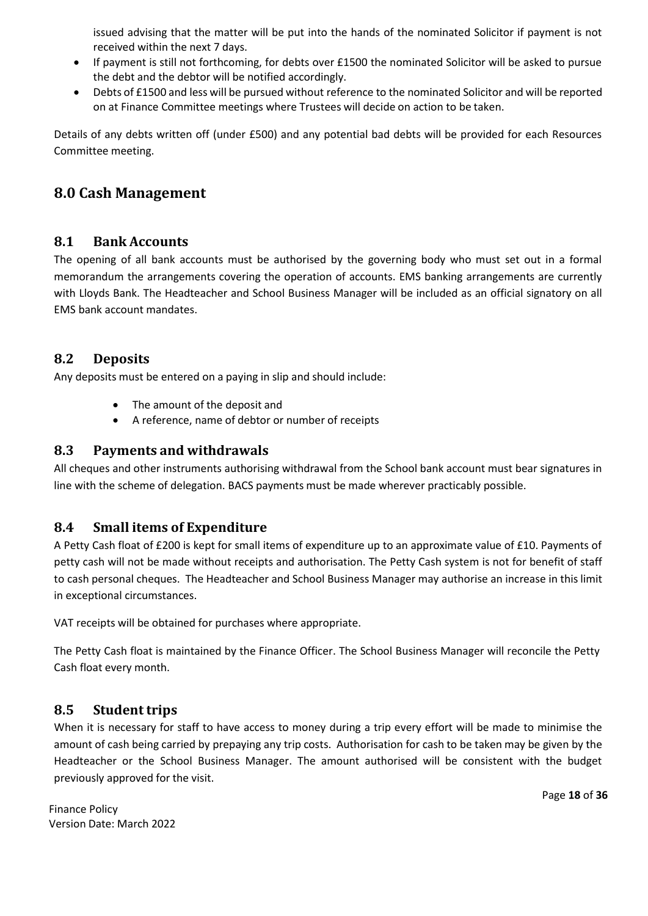issued advising that the matter will be put into the hands of the nominated Solicitor if payment is not received within the next 7 days.

- If payment is still not forthcoming, for debts over £1500 the nominated Solicitor will be asked to pursue the debt and the debtor will be notified accordingly.
- Debts of £1500 and less will be pursued without reference to the nominated Solicitor and will be reported on at Finance Committee meetings where Trustees will decide on action to be taken.

Details of any debts written off (under £500) and any potential bad debts will be provided for each Resources Committee meeting.

# <span id="page-17-0"></span>**8.0 Cash Management**

#### <span id="page-17-1"></span>**8.1 Bank Accounts**

The opening of all bank accounts must be authorised by the governing body who must set out in a formal memorandum the arrangements covering the operation of accounts. EMS banking arrangements are currently with Lloyds Bank. The Headteacher and School Business Manager will be included as an official signatory on all EMS bank account mandates.

#### <span id="page-17-2"></span>**8.2 Deposits**

Any deposits must be entered on a paying in slip and should include:

- The amount of the deposit and
- A reference, name of debtor or number of receipts

#### <span id="page-17-3"></span>**8.3 Payments and withdrawals**

All cheques and other instruments authorising withdrawal from the School bank account must bear signatures in line with the scheme of delegation. BACS payments must be made wherever practicably possible.

#### <span id="page-17-4"></span>**8.4 Small items of Expenditure**

A Petty Cash float of £200 is kept for small items of expenditure up to an approximate value of £10. Payments of petty cash will not be made without receipts and authorisation. The Petty Cash system is not for benefit of staff to cash personal cheques. The Headteacher and School Business Manager may authorise an increase in this limit in exceptional circumstances.

VAT receipts will be obtained for purchases where appropriate.

The Petty Cash float is maintained by the Finance Officer. The School Business Manager will reconcile the Petty Cash float every month.

#### <span id="page-17-5"></span>**8.5 Student trips**

When it is necessary for staff to have access to money during a trip every effort will be made to minimise the amount of cash being carried by prepaying any trip costs. Authorisation for cash to be taken may be given by the Headteacher or the School Business Manager. The amount authorised will be consistent with the budget previously approved for the visit.

Finance Policy Version Date: March 2022 Page **18** of **36**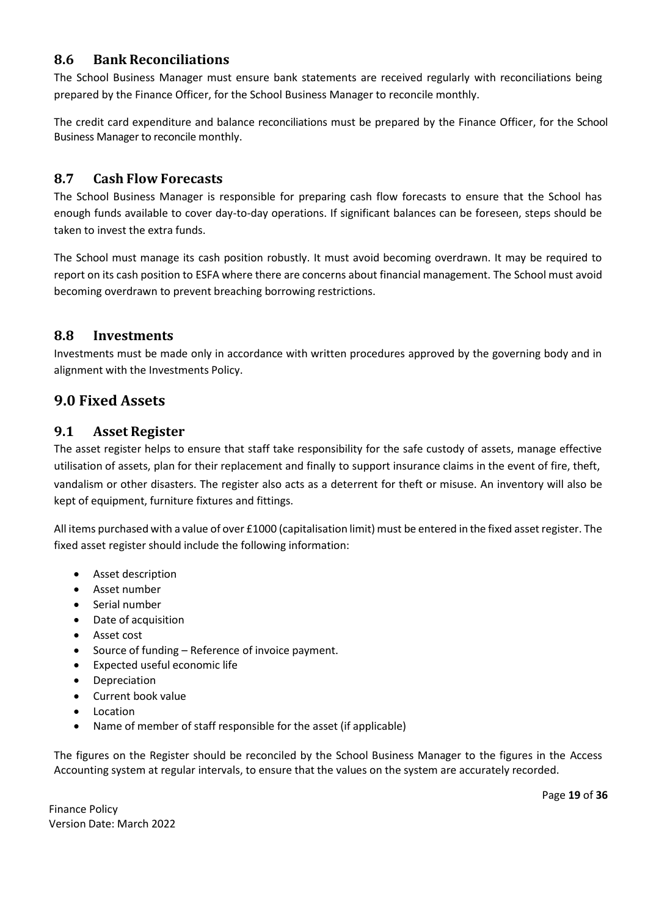#### <span id="page-18-0"></span>**8.6 Bank Reconciliations**

The School Business Manager must ensure bank statements are received regularly with reconciliations being prepared by the Finance Officer, for the School Business Manager to reconcile monthly.

The credit card expenditure and balance reconciliations must be prepared by the Finance Officer, for the School Business Manager to reconcile monthly.

#### <span id="page-18-1"></span>**8.7 Cash Flow Forecasts**

The School Business Manager is responsible for preparing cash flow forecasts to ensure that the School has enough funds available to cover day-to-day operations. If significant balances can be foreseen, steps should be taken to invest the extra funds.

The School must manage its cash position robustly. It must avoid becoming overdrawn. It may be required to report on its cash position to ESFA where there are concerns about financial management. The School must avoid becoming overdrawn to prevent breaching borrowing restrictions.

#### <span id="page-18-2"></span>**8.8 Investments**

Investments must be made only in accordance with written procedures approved by the governing body and in alignment with the Investments Policy.

#### <span id="page-18-3"></span>**9.0 Fixed Assets**

#### <span id="page-18-4"></span>**9.1 Asset Register**

The asset register helps to ensure that staff take responsibility for the safe custody of assets, manage effective utilisation of assets, plan for their replacement and finally to support insurance claims in the event of fire, theft, vandalism or other disasters. The register also acts as a deterrent for theft or misuse. An inventory will also be kept of equipment, furniture fixtures and fittings.

All items purchased with a value of over £1000 (capitalisation limit) must be entered in the fixed asset register. The fixed asset register should include the following information:

- Asset description
- Asset number
- Serial number
- Date of acquisition
- Asset cost
- Source of funding Reference of invoice payment.
- Expected useful economic life
- **Depreciation**
- Current book value
- **Location**
- Name of member of staff responsible for the asset (if applicable)

The figures on the Register should be reconciled by the School Business Manager to the figures in the Access Accounting system at regular intervals, to ensure that the values on the system are accurately recorded.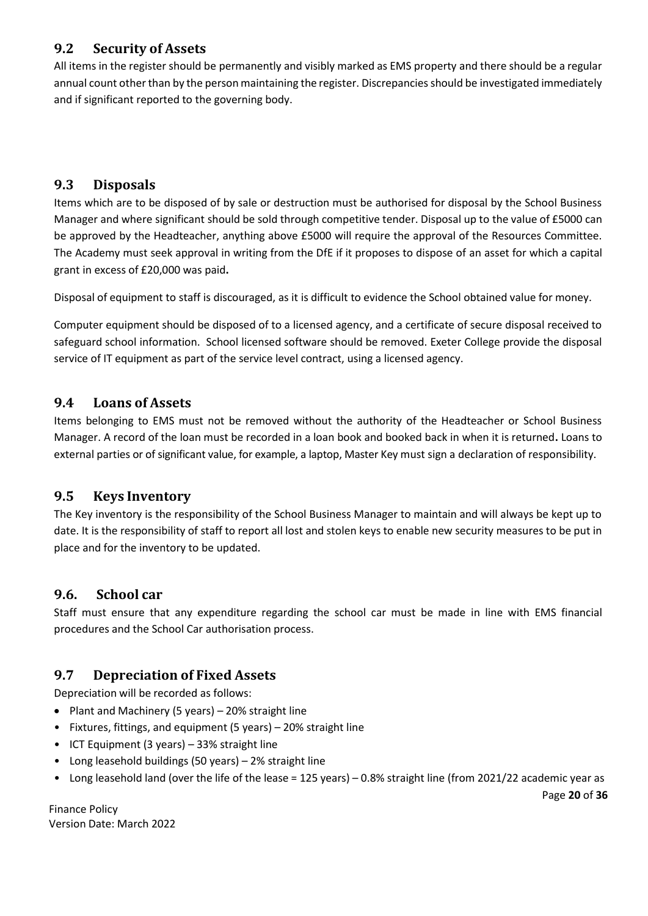# <span id="page-19-0"></span>**9.2 Security of Assets**

All items in the register should be permanently and visibly marked as EMS property and there should be a regular annual count other than by the person maintaining the register. Discrepancies should be investigated immediately and if significant reported to the governing body.

# <span id="page-19-1"></span>**9.3 Disposals**

Items which are to be disposed of by sale or destruction must be authorised for disposal by the School Business Manager and where significant should be sold through competitive tender. Disposal up to the value of £5000 can be approved by the Headteacher, anything above £5000 will require the approval of the Resources Committee. The Academy must seek approval in writing from the DfE if it proposes to dispose of an asset for which a capital grant in excess of £20,000 was paid**.**

Disposal of equipment to staff is discouraged, as it is difficult to evidence the School obtained value for money.

Computer equipment should be disposed of to a licensed agency, and a certificate of secure disposal received to safeguard school information. School licensed software should be removed. Exeter College provide the disposal service of IT equipment as part of the service level contract, using a licensed agency.

# <span id="page-19-2"></span>**9.4 Loans of Assets**

Items belonging to EMS must not be removed without the authority of the Headteacher or School Business Manager. A record of the loan must be recorded in a loan book and booked back in when it is returned**.** Loans to external parties or of significant value, for example, a laptop, Master Key must sign a declaration of responsibility.

# <span id="page-19-3"></span>**9.5 Keys Inventory**

The Key inventory is the responsibility of the School Business Manager to maintain and will always be kept up to date. It is the responsibility of staff to report all lost and stolen keys to enable new security measures to be put in place and for the inventory to be updated.

# <span id="page-19-4"></span>**9.6. School car**

Staff must ensure that any expenditure regarding the school car must be made in line with EMS financial procedures and the School Car authorisation process.

# <span id="page-19-5"></span>**9.7 Depreciation of Fixed Assets**

Depreciation will be recorded as follows:

- Plant and Machinery (5 years) 20% straight line
- Fixtures, fittings, and equipment (5 years) 20% straight line
- ICT Equipment (3 years) 33% straight line
- Long leasehold buildings (50 years) 2% straight line
- Long leasehold land (over the life of the lease = 125 years) 0.8% straight line (from 2021/22 academic year as

Page **20** of **36**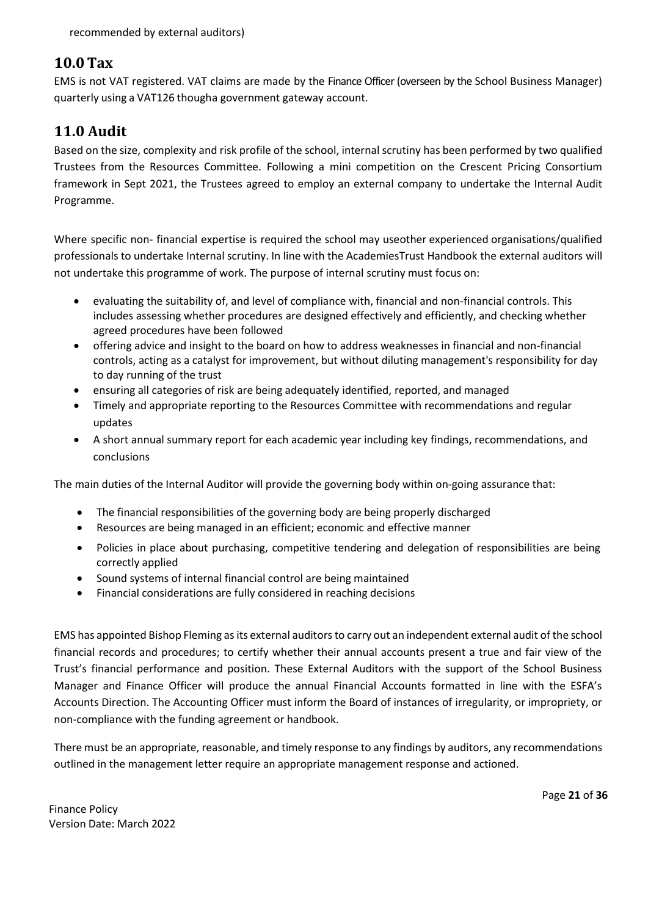# <span id="page-20-0"></span>**10.0 Tax**

EMS is not VAT registered. VAT claims are made by the Finance Officer (overseen by the School Business Manager) quarterly using a VAT126 thougha government gateway account.

# <span id="page-20-1"></span>**11.0 Audit**

Based on the size, complexity and risk profile of the school, internal scrutiny has been performed by two qualified Trustees from the Resources Committee. Following a mini competition on the Crescent Pricing Consortium framework in Sept 2021, the Trustees agreed to employ an external company to undertake the Internal Audit Programme.

Where specific non- financial expertise is required the school may useother experienced organisations/qualified professionals to undertake Internal scrutiny. In line with the AcademiesTrust Handbook the external auditors will not undertake this programme of work. The purpose of internal scrutiny must focus on:

- evaluating the suitability of, and level of compliance with, financial and non-financial controls. This includes assessing whether procedures are designed effectively and efficiently, and checking whether agreed procedures have been followed
- offering advice and insight to the board on how to address weaknesses in financial and non-financial controls, acting as a catalyst for improvement, but without diluting management's responsibility for day to day running of the trust
- ensuring all categories of risk are being adequately identified, reported, and managed
- Timely and appropriate reporting to the Resources Committee with recommendations and regular updates
- A short annual summary report for each academic year including key findings, recommendations, and conclusions

The main duties of the Internal Auditor will provide the governing body within on-going assurance that:

- The financial responsibilities of the governing body are being properly discharged
- Resources are being managed in an efficient; economic and effective manner
- Policies in place about purchasing, competitive tendering and delegation of responsibilities are being correctly applied
- Sound systems of internal financial control are being maintained
- Financial considerations are fully considered in reaching decisions

EMS has appointed Bishop Fleming as its external auditors to carry out an independent external audit of the school financial records and procedures; to certify whether their annual accounts present a true and fair view of the Trust's financial performance and position. These External Auditors with the support of the School Business Manager and Finance Officer will produce the annual Financial Accounts formatted in line with the ESFA's Accounts Direction. The Accounting Officer must inform the Board of instances of irregularity, or impropriety, or non-compliance with the funding agreement or handbook.

There must be an appropriate, reasonable, and timely response to any findings by auditors, any recommendations outlined in the management letter require an appropriate management response and actioned.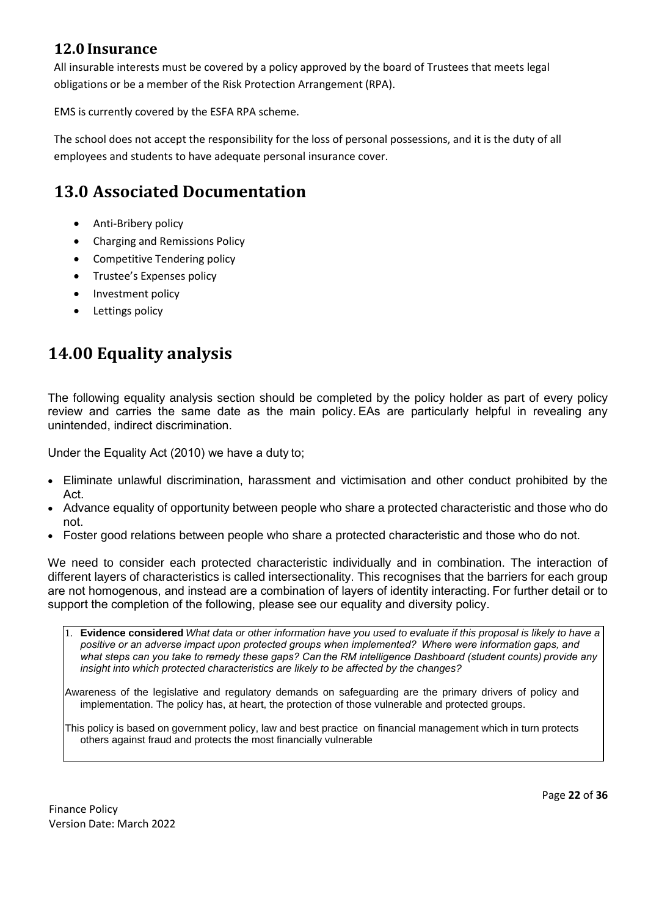# <span id="page-21-0"></span>**12.0 Insurance**

All insurable interests must be covered by a policy approved by the board of Trustees that meets legal obligations or be a member of the Risk Protection Arrangement (RPA).

EMS is currently covered by the ESFA RPA scheme.

The school does not accept the responsibility for the loss of personal possessions, and it is the duty of all employees and students to have adequate personal insurance cover.

# **13.0 Associated Documentation**

- Anti-Bribery policy
- Charging and Remissions Policy
- Competitive Tendering policy
- Trustee's Expenses policy
- Investment policy
- Lettings policy

# **14.00 Equality analysis**

The following equality analysis section should be completed by the policy holder as part of every policy review and carries the same date as the main policy. EAs are particularly helpful in revealing any unintended, indirect discrimination.  

Under the Equality Act (2010) we have a duty to;  

- Eliminate unlawful discrimination, harassment and victimisation and other conduct prohibited by the Act.
- Advance equality of opportunity between people who share a protected characteristic and those who do not.
- Foster good relations between people who share a protected characteristic and those who do not.

We need to consider each protected characteristic individually and in combination. The interaction of different layers of characteristics is called intersectionality. This recognises that the barriers for each group are not homogenous, and instead are a combination of layers of identity interacting. For further detail or to support the completion of the following, please see our equality and diversity policy. 

1. **Evidence considered** *What data or other information have you used to evaluate if this proposal is likely to have a positive or an adverse impact upon protected groups when implemented?  Where were information gaps, and what steps can you take to remedy these gaps? Can the RM intelligence Dashboard (student counts) provide any insight into which protected characteristics are likely to be affected by the changes?*

Awareness of the legislative and regulatory demands on safeguarding are the primary drivers of policy and implementation. The policy has, at heart, the protection of those vulnerable and protected groups.

This policy is based on government policy, law and best practice on financial management which in turn protects others against fraud and protects the most financially vulnerable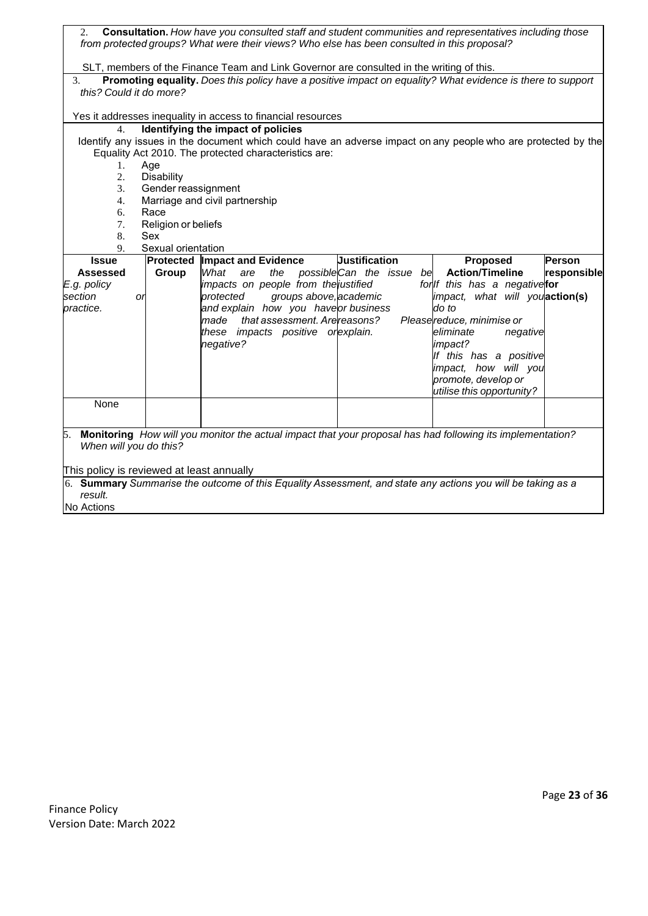| 2.                                                                                       |                     |                                      |                                                                     | from protected groups? What were their views? Who else has been consulted in this proposal? | Consultation. How have you consulted staff and student communities and representatives including those        |             |  |  |  |
|------------------------------------------------------------------------------------------|---------------------|--------------------------------------|---------------------------------------------------------------------|---------------------------------------------------------------------------------------------|---------------------------------------------------------------------------------------------------------------|-------------|--|--|--|
| SLT, members of the Finance Team and Link Governor are consulted in the writing of this. |                     |                                      |                                                                     |                                                                                             |                                                                                                               |             |  |  |  |
| 3.                                                                                       |                     |                                      |                                                                     |                                                                                             | Promoting equality. Does this policy have a positive impact on equality? What evidence is there to support    |             |  |  |  |
| this? Could it do more?                                                                  |                     |                                      |                                                                     |                                                                                             |                                                                                                               |             |  |  |  |
|                                                                                          |                     |                                      |                                                                     |                                                                                             |                                                                                                               |             |  |  |  |
|                                                                                          |                     |                                      | Yes it addresses inequality in access to financial resources        |                                                                                             |                                                                                                               |             |  |  |  |
| 4.                                                                                       |                     | Identifying the impact of policies   |                                                                     |                                                                                             |                                                                                                               |             |  |  |  |
|                                                                                          |                     |                                      |                                                                     |                                                                                             | Identify any issues in the document which could have an adverse impact on any people who are protected by the |             |  |  |  |
| 1.                                                                                       | Age                 |                                      | Equality Act 2010. The protected characteristics are:               |                                                                                             |                                                                                                               |             |  |  |  |
| 2.                                                                                       | Disability          |                                      |                                                                     |                                                                                             |                                                                                                               |             |  |  |  |
| 3.                                                                                       | Gender reassignment |                                      |                                                                     |                                                                                             |                                                                                                               |             |  |  |  |
| 4.                                                                                       |                     | Marriage and civil partnership       |                                                                     |                                                                                             |                                                                                                               |             |  |  |  |
| 6.                                                                                       | Race                |                                      |                                                                     |                                                                                             |                                                                                                               |             |  |  |  |
| 7.                                                                                       | Religion or beliefs |                                      |                                                                     |                                                                                             |                                                                                                               |             |  |  |  |
| 8.                                                                                       | Sex                 |                                      |                                                                     |                                                                                             |                                                                                                               |             |  |  |  |
| 9.                                                                                       | Sexual orientation  |                                      |                                                                     |                                                                                             |                                                                                                               |             |  |  |  |
| <b>Issue</b>                                                                             |                     | <b>Protected Impact and Evidence</b> |                                                                     | <b>Justification</b>                                                                        | Proposed                                                                                                      | Person      |  |  |  |
| Assessed                                                                                 | Group               | What<br>are                          | the                                                                 | possibleCan the issue be                                                                    | <b>Action/Timeline</b>                                                                                        | responsible |  |  |  |
| E.g. policy                                                                              |                     |                                      | impacts on people from the justified                                |                                                                                             | for If this has a negativefor                                                                                 |             |  |  |  |
| section                                                                                  | or                  | protected                            | groups above, academic                                              |                                                                                             | impact, what will youaction(s)                                                                                |             |  |  |  |
| practice.                                                                                |                     |                                      | and explain how you haveor business                                 |                                                                                             | do to                                                                                                         |             |  |  |  |
|                                                                                          |                     | made                                 | that assessment. Are reasons?<br>these impacts positive or explain. |                                                                                             | Pleasereduce, minimise or<br>eliminate                                                                        |             |  |  |  |
|                                                                                          |                     | negative?                            |                                                                     |                                                                                             | negative<br>impact?                                                                                           |             |  |  |  |
|                                                                                          |                     |                                      |                                                                     |                                                                                             | If this has a positive                                                                                        |             |  |  |  |
|                                                                                          |                     |                                      |                                                                     |                                                                                             | impact, how will you                                                                                          |             |  |  |  |
|                                                                                          |                     |                                      |                                                                     |                                                                                             | promote, develop or                                                                                           |             |  |  |  |
|                                                                                          |                     |                                      |                                                                     |                                                                                             | utilise this opportunity?                                                                                     |             |  |  |  |
| None                                                                                     |                     |                                      |                                                                     |                                                                                             |                                                                                                               |             |  |  |  |
|                                                                                          |                     |                                      |                                                                     |                                                                                             |                                                                                                               |             |  |  |  |
|                                                                                          |                     |                                      |                                                                     |                                                                                             | 5. Monitoring How will you monitor the actual impact that your proposal has had following its implementation? |             |  |  |  |
| When will you do this?                                                                   |                     |                                      |                                                                     |                                                                                             |                                                                                                               |             |  |  |  |
|                                                                                          |                     |                                      |                                                                     |                                                                                             |                                                                                                               |             |  |  |  |
| This policy is reviewed at least annually                                                |                     |                                      |                                                                     |                                                                                             |                                                                                                               |             |  |  |  |
|                                                                                          |                     |                                      |                                                                     |                                                                                             | 6. Summary Summarise the outcome of this Equality Assessment, and state any actions you will be taking as a   |             |  |  |  |
| result.                                                                                  |                     |                                      |                                                                     |                                                                                             |                                                                                                               |             |  |  |  |
| No Actions                                                                               |                     |                                      |                                                                     |                                                                                             |                                                                                                               |             |  |  |  |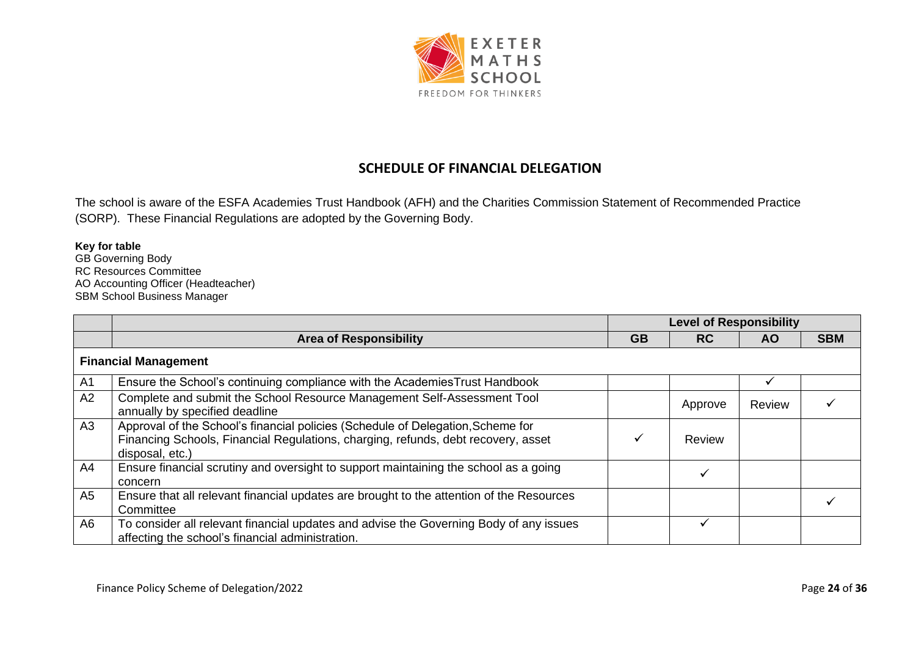

# **SCHEDULE OF FINANCIAL DELEGATION**

The school is aware of the ESFA Academies Trust Handbook (AFH) and the Charities Commission Statement of Recommended Practice (SORP). These Financial Regulations are adopted by the Governing Body.

# **Key for table**

GB Governing Body RC Resources Committee AO Accounting Officer (Headteacher) SBM School Business Manager

|                |                                                                                                                                                                                         | <b>Level of Responsibility</b> |           |               |            |  |  |
|----------------|-----------------------------------------------------------------------------------------------------------------------------------------------------------------------------------------|--------------------------------|-----------|---------------|------------|--|--|
|                | <b>Area of Responsibility</b>                                                                                                                                                           | <b>GB</b>                      | <b>RC</b> | AO.           | <b>SBM</b> |  |  |
|                | <b>Financial Management</b>                                                                                                                                                             |                                |           |               |            |  |  |
| A <sub>1</sub> | Ensure the School's continuing compliance with the Academies Trust Handbook                                                                                                             |                                |           |               |            |  |  |
| A2             | Complete and submit the School Resource Management Self-Assessment Tool<br>annually by specified deadline                                                                               |                                | Approve   | <b>Review</b> |            |  |  |
| A3             | Approval of the School's financial policies (Schedule of Delegation, Scheme for<br>Financing Schools, Financial Regulations, charging, refunds, debt recovery, asset<br>disposal, etc.) |                                | Review    |               |            |  |  |
| A4             | Ensure financial scrutiny and oversight to support maintaining the school as a going<br>concern                                                                                         |                                |           |               |            |  |  |
| A5             | Ensure that all relevant financial updates are brought to the attention of the Resources<br>Committee                                                                                   |                                |           |               |            |  |  |
| A6             | To consider all relevant financial updates and advise the Governing Body of any issues<br>affecting the school's financial administration.                                              |                                |           |               |            |  |  |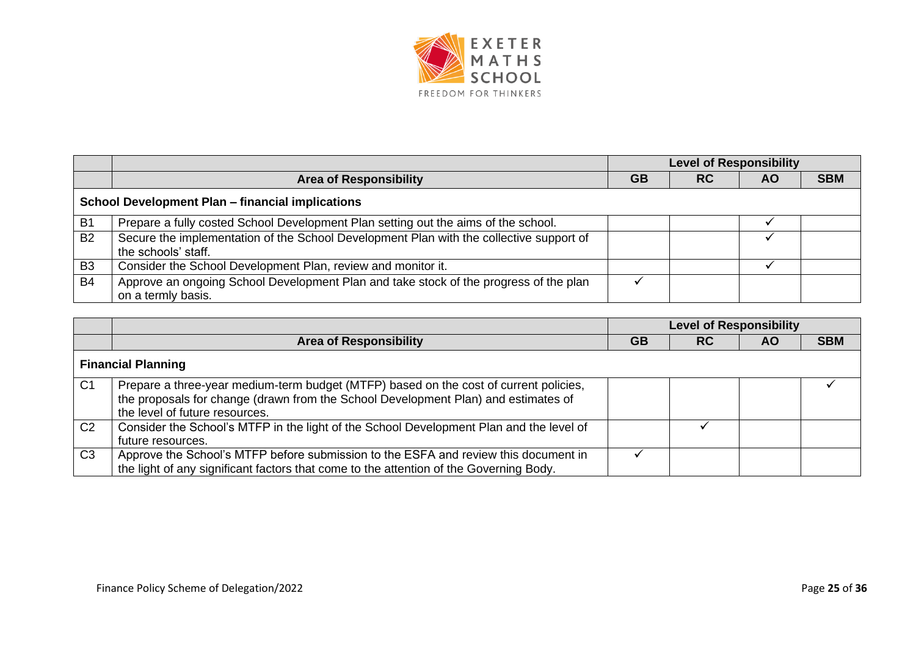

|                |                                                                                                                | <b>Level of Responsibility</b> |           |           |            |  |  |
|----------------|----------------------------------------------------------------------------------------------------------------|--------------------------------|-----------|-----------|------------|--|--|
|                | <b>Area of Responsibility</b>                                                                                  | <b>GB</b>                      | <b>RC</b> | <b>AO</b> | <b>SBM</b> |  |  |
|                | <b>School Development Plan - financial implications</b>                                                        |                                |           |           |            |  |  |
| B <sub>1</sub> | Prepare a fully costed School Development Plan setting out the aims of the school.                             |                                |           |           |            |  |  |
| <b>B2</b>      | Secure the implementation of the School Development Plan with the collective support of<br>the schools' staff. |                                |           |           |            |  |  |
| B <sub>3</sub> | Consider the School Development Plan, review and monitor it.                                                   |                                |           |           |            |  |  |
| <b>B4</b>      | Approve an ongoing School Development Plan and take stock of the progress of the plan<br>on a termly basis.    |                                |           |           |            |  |  |

|                |                                                                                                                                                                                                               | <b>Level of Responsibility</b> |           |           |            |
|----------------|---------------------------------------------------------------------------------------------------------------------------------------------------------------------------------------------------------------|--------------------------------|-----------|-----------|------------|
|                | <b>Area of Responsibility</b>                                                                                                                                                                                 | GB                             | <b>RC</b> | <b>AO</b> | <b>SBM</b> |
|                | <b>Financial Planning</b>                                                                                                                                                                                     |                                |           |           |            |
| C <sub>1</sub> | Prepare a three-year medium-term budget (MTFP) based on the cost of current policies,<br>the proposals for change (drawn from the School Development Plan) and estimates of<br>the level of future resources. |                                |           |           |            |
| C <sub>2</sub> | Consider the School's MTFP in the light of the School Development Plan and the level of<br>future resources.                                                                                                  |                                |           |           |            |
| C <sub>3</sub> | Approve the School's MTFP before submission to the ESFA and review this document in<br>the light of any significant factors that come to the attention of the Governing Body.                                 |                                |           |           |            |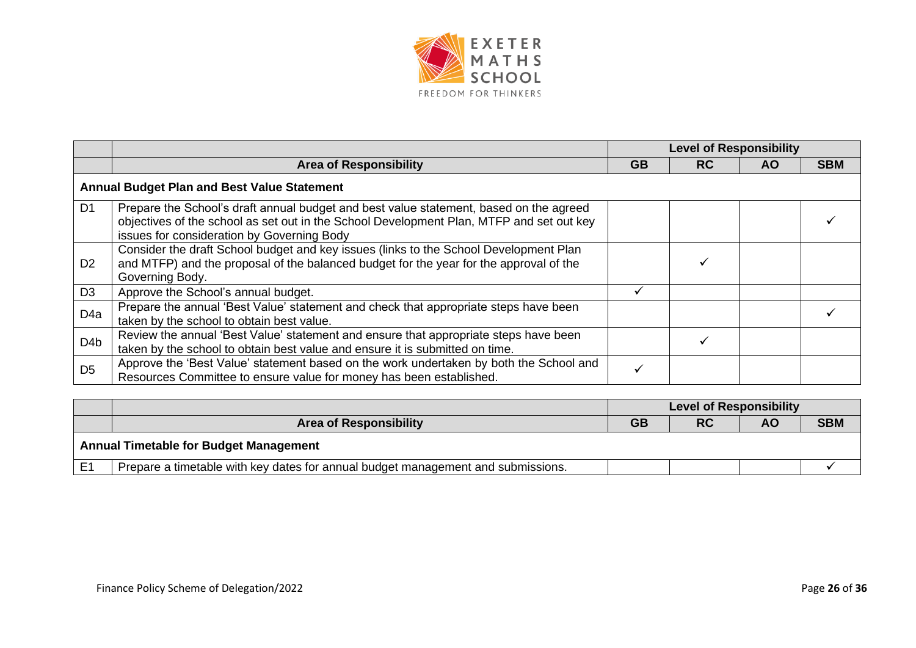

|                  |                                                                                                                                                                                                                                  | <b>Level of Responsibility</b> |           |     |            |  |  |
|------------------|----------------------------------------------------------------------------------------------------------------------------------------------------------------------------------------------------------------------------------|--------------------------------|-----------|-----|------------|--|--|
|                  | <b>Area of Responsibility</b>                                                                                                                                                                                                    | <b>GB</b>                      | <b>RC</b> | AO. | <b>SBM</b> |  |  |
|                  | <b>Annual Budget Plan and Best Value Statement</b>                                                                                                                                                                               |                                |           |     |            |  |  |
| D <sub>1</sub>   | Prepare the School's draft annual budget and best value statement, based on the agreed<br>objectives of the school as set out in the School Development Plan, MTFP and set out key<br>issues for consideration by Governing Body |                                |           |     |            |  |  |
| D <sub>2</sub>   | Consider the draft School budget and key issues (links to the School Development Plan<br>and MTFP) and the proposal of the balanced budget for the year for the approval of the<br>Governing Body.                               |                                |           |     |            |  |  |
| D <sub>3</sub>   | Approve the School's annual budget.                                                                                                                                                                                              |                                |           |     |            |  |  |
| D <sub>4a</sub>  | Prepare the annual 'Best Value' statement and check that appropriate steps have been<br>taken by the school to obtain best value.                                                                                                |                                |           |     |            |  |  |
| D <sub>4</sub> b | Review the annual 'Best Value' statement and ensure that appropriate steps have been<br>taken by the school to obtain best value and ensure it is submitted on time.                                                             |                                |           |     |            |  |  |
| D <sub>5</sub>   | Approve the 'Best Value' statement based on the work undertaken by both the School and<br>Resources Committee to ensure value for money has been established.                                                                    |                                |           |     |            |  |  |

|                |                                                                                  | <b>Level of Responsibility</b> |           |    |            |  |
|----------------|----------------------------------------------------------------------------------|--------------------------------|-----------|----|------------|--|
|                | <b>Area of Responsibility</b>                                                    | GB                             | <b>RC</b> | AΟ | <b>SBM</b> |  |
|                | <b>Annual Timetable for Budget Management</b>                                    |                                |           |    |            |  |
| E <sub>1</sub> | Prepare a timetable with key dates for annual budget management and submissions. |                                |           |    |            |  |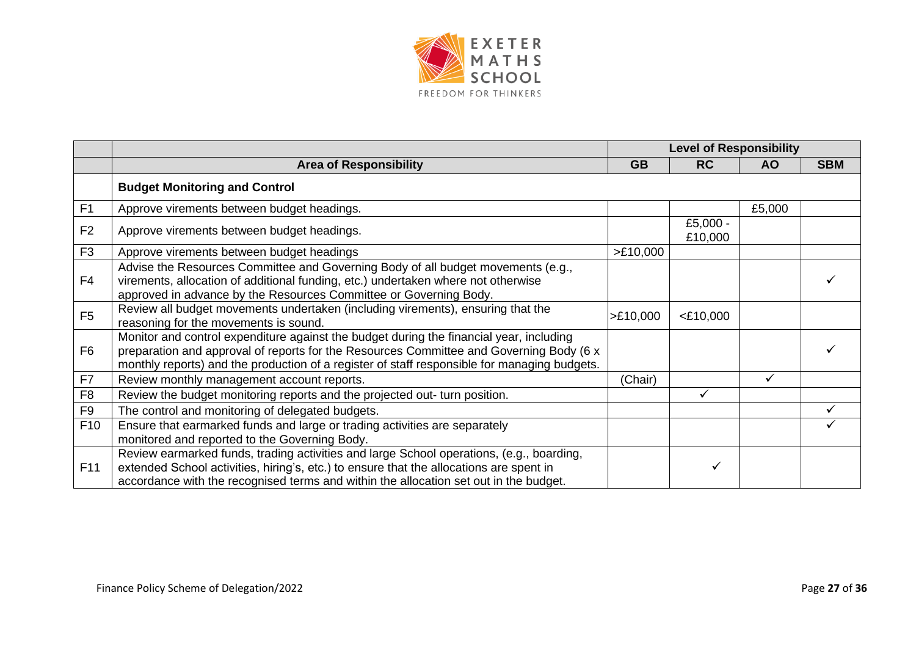

|                 |                                                                                                                                                                                                                                                                                    |           | <b>Level of Responsibility</b> |           |            |
|-----------------|------------------------------------------------------------------------------------------------------------------------------------------------------------------------------------------------------------------------------------------------------------------------------------|-----------|--------------------------------|-----------|------------|
|                 | <b>Area of Responsibility</b>                                                                                                                                                                                                                                                      | <b>GB</b> | <b>RC</b>                      | <b>AO</b> | <b>SBM</b> |
|                 | <b>Budget Monitoring and Control</b>                                                                                                                                                                                                                                               |           |                                |           |            |
| F <sub>1</sub>  | Approve virements between budget headings.                                                                                                                                                                                                                                         |           |                                | £5,000    |            |
| F <sub>2</sub>  | Approve virements between budget headings.                                                                                                                                                                                                                                         |           | £5,000 -<br>£10,000            |           |            |
| F <sub>3</sub>  | Approve virements between budget headings                                                                                                                                                                                                                                          | >E10,000  |                                |           |            |
| F <sub>4</sub>  | Advise the Resources Committee and Governing Body of all budget movements (e.g.,<br>virements, allocation of additional funding, etc.) undertaken where not otherwise<br>approved in advance by the Resources Committee or Governing Body.                                         |           |                                |           |            |
| F <sub>5</sub>  | Review all budget movements undertaken (including virements), ensuring that the<br>reasoning for the movements is sound.                                                                                                                                                           | >E10,000  | $<$ £10,000                    |           |            |
| F <sub>6</sub>  | Monitor and control expenditure against the budget during the financial year, including<br>preparation and approval of reports for the Resources Committee and Governing Body (6 x<br>monthly reports) and the production of a register of staff responsible for managing budgets. |           |                                |           |            |
| F7              | Review monthly management account reports.                                                                                                                                                                                                                                         | (Chair)   |                                | ✓         |            |
| F <sub>8</sub>  | Review the budget monitoring reports and the projected out- turn position.                                                                                                                                                                                                         |           | ✓                              |           |            |
| F <sub>9</sub>  | The control and monitoring of delegated budgets.                                                                                                                                                                                                                                   |           |                                |           |            |
| F <sub>10</sub> | Ensure that earmarked funds and large or trading activities are separately<br>monitored and reported to the Governing Body.                                                                                                                                                        |           |                                |           |            |
| F11             | Review earmarked funds, trading activities and large School operations, (e.g., boarding,<br>extended School activities, hiring's, etc.) to ensure that the allocations are spent in<br>accordance with the recognised terms and within the allocation set out in the budget.       |           |                                |           |            |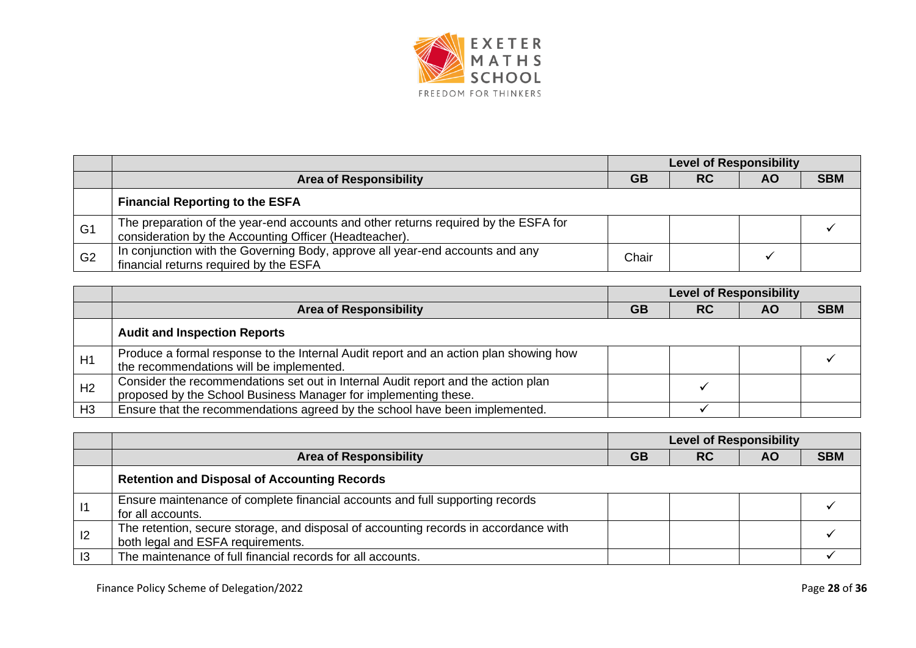

|                |                                                                                                                                               | <b>Level of Responsibility</b> |           |           |            |
|----------------|-----------------------------------------------------------------------------------------------------------------------------------------------|--------------------------------|-----------|-----------|------------|
|                | <b>Area of Responsibility</b>                                                                                                                 | <b>GB</b>                      | <b>RC</b> | <b>AO</b> | <b>SBM</b> |
|                | <b>Financial Reporting to the ESFA</b>                                                                                                        |                                |           |           |            |
| G <sub>1</sub> | The preparation of the year-end accounts and other returns required by the ESFA for<br>consideration by the Accounting Officer (Headteacher). |                                |           |           |            |
| G <sub>2</sub> | In conjunction with the Governing Body, approve all year-end accounts and any<br>financial returns required by the ESFA                       | Chair                          |           |           |            |

|                |                                                                                                                                                      | <b>Level of Responsibility</b> |           |    |            |
|----------------|------------------------------------------------------------------------------------------------------------------------------------------------------|--------------------------------|-----------|----|------------|
|                | <b>Area of Responsibility</b>                                                                                                                        | GB                             | <b>RC</b> | ΑO | <b>SBM</b> |
|                | <b>Audit and Inspection Reports</b>                                                                                                                  |                                |           |    |            |
| H1             | Produce a formal response to the Internal Audit report and an action plan showing how<br>the recommendations will be implemented.                    |                                |           |    |            |
| H <sub>2</sub> | Consider the recommendations set out in Internal Audit report and the action plan<br>proposed by the School Business Manager for implementing these. |                                |           |    |            |
| H <sub>3</sub> | Ensure that the recommendations agreed by the school have been implemented.                                                                          |                                |           |    |            |

|    |                                                                                                                           | <b>Level of Responsibility</b> |           |           |            |
|----|---------------------------------------------------------------------------------------------------------------------------|--------------------------------|-----------|-----------|------------|
|    | <b>Area of Responsibility</b>                                                                                             | <b>GB</b>                      | <b>RC</b> | <b>AO</b> | <b>SBM</b> |
|    | <b>Retention and Disposal of Accounting Records</b>                                                                       |                                |           |           |            |
|    | Ensure maintenance of complete financial accounts and full supporting records<br>for all accounts.                        |                                |           |           |            |
| 12 | The retention, secure storage, and disposal of accounting records in accordance with<br>both legal and ESFA requirements. |                                |           |           |            |
| 13 | The maintenance of full financial records for all accounts.                                                               |                                |           |           |            |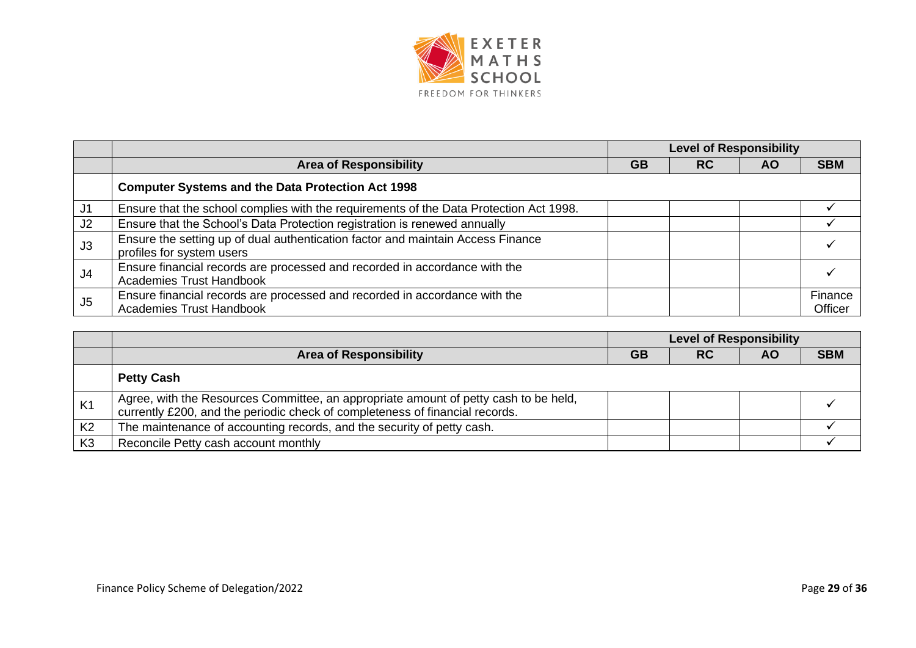

|                |                                                                                                               | <b>Level of Responsibility</b> |           |           |                    |
|----------------|---------------------------------------------------------------------------------------------------------------|--------------------------------|-----------|-----------|--------------------|
|                | <b>Area of Responsibility</b>                                                                                 | <b>GB</b>                      | <b>RC</b> | <b>AO</b> | <b>SBM</b>         |
|                | <b>Computer Systems and the Data Protection Act 1998</b>                                                      |                                |           |           |                    |
| J1             | Ensure that the school complies with the requirements of the Data Protection Act 1998.                        |                                |           |           |                    |
| J2             | Ensure that the School's Data Protection registration is renewed annually                                     |                                |           |           |                    |
| J3             | Ensure the setting up of dual authentication factor and maintain Access Finance<br>profiles for system users  |                                |           |           |                    |
| J <sub>4</sub> | Ensure financial records are processed and recorded in accordance with the<br><b>Academies Trust Handbook</b> |                                |           |           |                    |
| J <sub>5</sub> | Ensure financial records are processed and recorded in accordance with the<br><b>Academies Trust Handbook</b> |                                |           |           | Finance<br>Officer |

|                |                                                                                                                                                                      | <b>Level of Responsibility</b> |           |    |            |  |
|----------------|----------------------------------------------------------------------------------------------------------------------------------------------------------------------|--------------------------------|-----------|----|------------|--|
|                | <b>Area of Responsibility</b>                                                                                                                                        | GВ                             | <b>RC</b> | ΑO | <b>SBM</b> |  |
|                | <b>Petty Cash</b>                                                                                                                                                    |                                |           |    |            |  |
| K <sub>1</sub> | Agree, with the Resources Committee, an appropriate amount of petty cash to be held,<br>currently £200, and the periodic check of completeness of financial records. |                                |           |    |            |  |
| K <sub>2</sub> | The maintenance of accounting records, and the security of petty cash.                                                                                               |                                |           |    |            |  |
| K <sub>3</sub> | Reconcile Petty cash account monthly                                                                                                                                 |                                |           |    |            |  |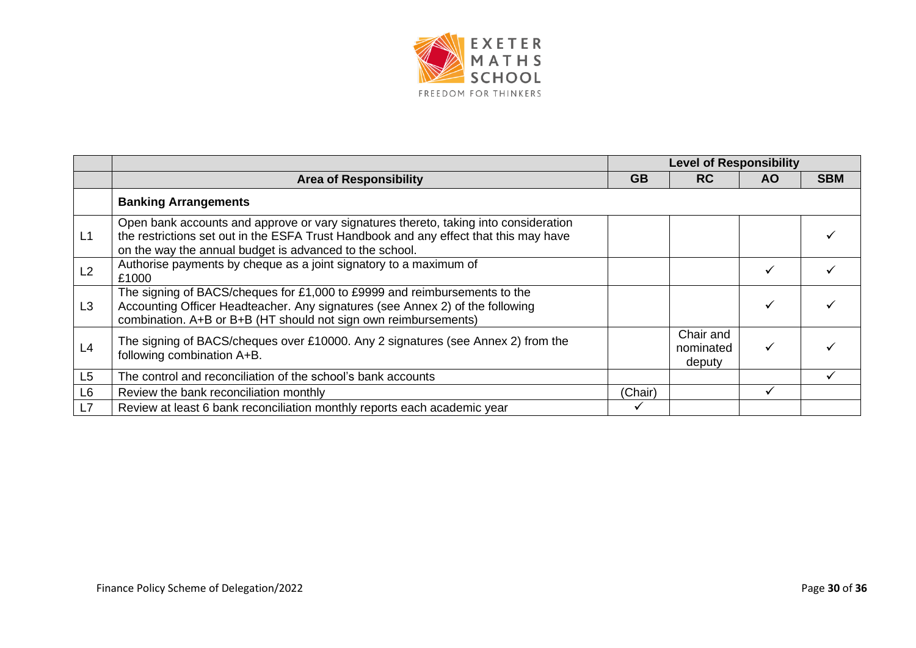

|                |                                                                                                                                                                                                                                          | <b>Level of Responsibility</b> |                                  |           |            |  |
|----------------|------------------------------------------------------------------------------------------------------------------------------------------------------------------------------------------------------------------------------------------|--------------------------------|----------------------------------|-----------|------------|--|
|                | <b>Area of Responsibility</b>                                                                                                                                                                                                            | <b>GB</b>                      | <b>RC</b>                        | <b>AO</b> | <b>SBM</b> |  |
|                | <b>Banking Arrangements</b>                                                                                                                                                                                                              |                                |                                  |           |            |  |
| L1             | Open bank accounts and approve or vary signatures thereto, taking into consideration<br>the restrictions set out in the ESFA Trust Handbook and any effect that this may have<br>on the way the annual budget is advanced to the school. |                                |                                  |           |            |  |
| L2             | Authorise payments by cheque as a joint signatory to a maximum of<br>£1000                                                                                                                                                               |                                |                                  |           |            |  |
| L3             | The signing of BACS/cheques for £1,000 to £9999 and reimbursements to the<br>Accounting Officer Headteacher. Any signatures (see Annex 2) of the following<br>combination. A+B or B+B (HT should not sign own reimbursements)            |                                |                                  |           |            |  |
| L4             | The signing of BACS/cheques over £10000. Any 2 signatures (see Annex 2) from the<br>following combination A+B.                                                                                                                           |                                | Chair and<br>nominated<br>deputy |           |            |  |
| L5             | The control and reconciliation of the school's bank accounts                                                                                                                                                                             |                                |                                  |           |            |  |
| L <sub>6</sub> | Review the bank reconciliation monthly                                                                                                                                                                                                   | (Chair)                        |                                  |           |            |  |
| L7             | Review at least 6 bank reconciliation monthly reports each academic year                                                                                                                                                                 | ✓                              |                                  |           |            |  |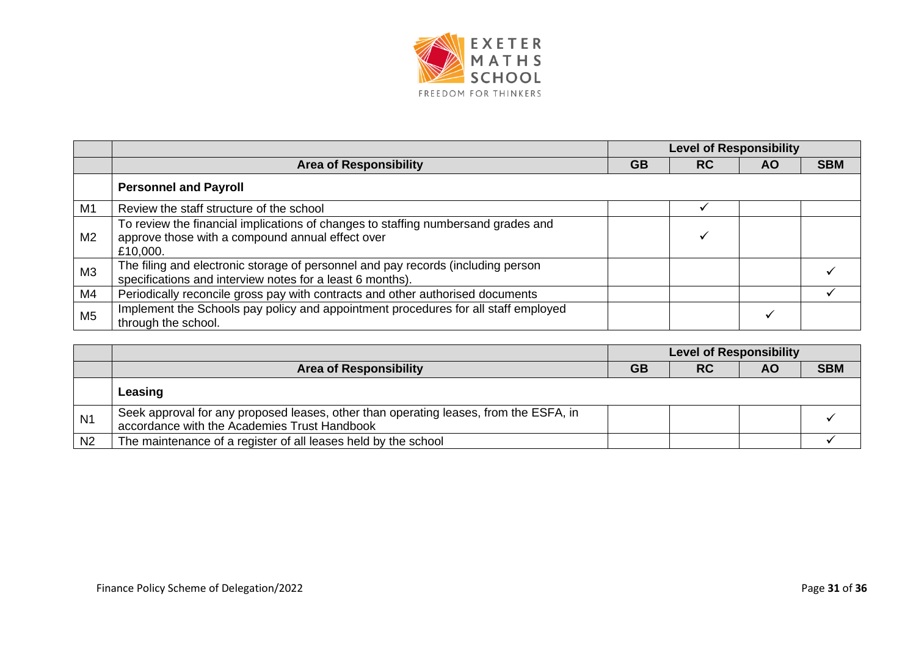

|                |                                                                                                                                                   |           | <b>Level of Responsibility</b> |           |            |  |
|----------------|---------------------------------------------------------------------------------------------------------------------------------------------------|-----------|--------------------------------|-----------|------------|--|
|                | <b>Area of Responsibility</b>                                                                                                                     | <b>GB</b> | <b>RC</b>                      | <b>AO</b> | <b>SBM</b> |  |
|                | <b>Personnel and Payroll</b>                                                                                                                      |           |                                |           |            |  |
| M1             | Review the staff structure of the school                                                                                                          |           |                                |           |            |  |
| M <sub>2</sub> | To review the financial implications of changes to staffing numbersand grades and<br>approve those with a compound annual effect over<br>£10,000. |           |                                |           |            |  |
| M <sub>3</sub> | The filing and electronic storage of personnel and pay records (including person<br>specifications and interview notes for a least 6 months).     |           |                                |           |            |  |
| M4             | Periodically reconcile gross pay with contracts and other authorised documents                                                                    |           |                                |           |            |  |
| M <sub>5</sub> | Implement the Schools pay policy and appointment procedures for all staff employed<br>through the school.                                         |           |                                |           |            |  |

|                |                                                                                                                                       | <b>Level of Responsibility</b> |           |    |            |
|----------------|---------------------------------------------------------------------------------------------------------------------------------------|--------------------------------|-----------|----|------------|
|                | <b>Area of Responsibility</b>                                                                                                         | <b>GB</b>                      | <b>RC</b> | ΑO | <b>SBM</b> |
|                | Leasing                                                                                                                               |                                |           |    |            |
| N <sub>1</sub> | Seek approval for any proposed leases, other than operating leases, from the ESFA, in<br>accordance with the Academies Trust Handbook |                                |           |    |            |
| N <sub>2</sub> | The maintenance of a register of all leases held by the school                                                                        |                                |           |    |            |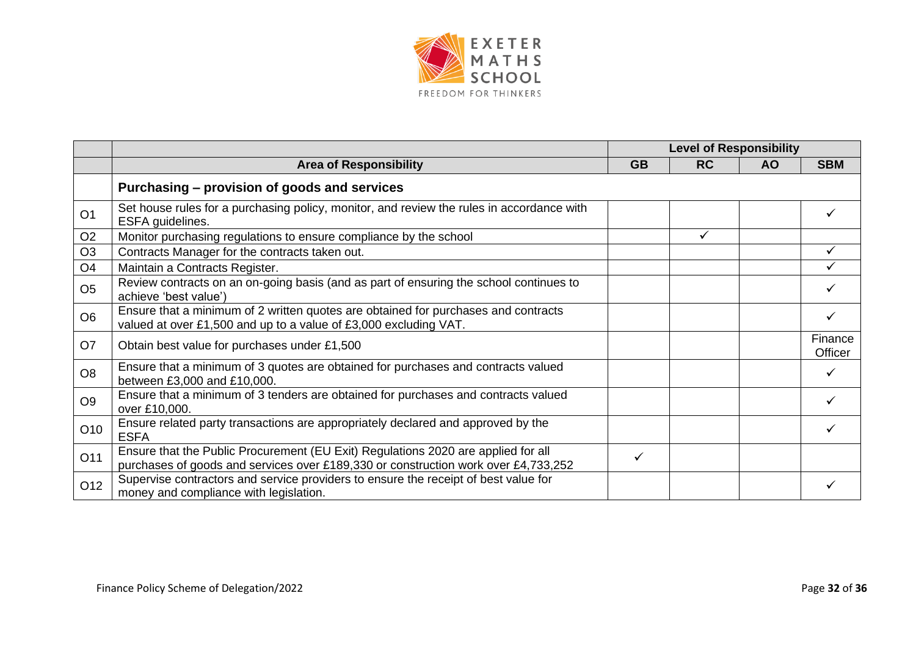

|                |                                                                                                                                                                         | <b>Level of Responsibility</b> |              |     |                    |
|----------------|-------------------------------------------------------------------------------------------------------------------------------------------------------------------------|--------------------------------|--------------|-----|--------------------|
|                | <b>Area of Responsibility</b>                                                                                                                                           | <b>GB</b>                      | <b>RC</b>    | AO. | <b>SBM</b>         |
|                | Purchasing – provision of goods and services                                                                                                                            |                                |              |     |                    |
| O <sub>1</sub> | Set house rules for a purchasing policy, monitor, and review the rules in accordance with<br>ESFA guidelines.                                                           |                                |              |     |                    |
| O <sub>2</sub> | Monitor purchasing regulations to ensure compliance by the school                                                                                                       |                                | $\checkmark$ |     |                    |
| O <sub>3</sub> | Contracts Manager for the contracts taken out.                                                                                                                          |                                |              |     |                    |
| O <sub>4</sub> | Maintain a Contracts Register.                                                                                                                                          |                                |              |     |                    |
| O <sub>5</sub> | Review contracts on an on-going basis (and as part of ensuring the school continues to<br>achieve 'best value')                                                         |                                |              |     |                    |
| O <sub>6</sub> | Ensure that a minimum of 2 written quotes are obtained for purchases and contracts<br>valued at over £1,500 and up to a value of £3,000 excluding VAT.                  |                                |              |     |                    |
| O <sub>7</sub> | Obtain best value for purchases under £1,500                                                                                                                            |                                |              |     | Finance<br>Officer |
| O <sub>8</sub> | Ensure that a minimum of 3 quotes are obtained for purchases and contracts valued<br>between £3,000 and £10,000.                                                        |                                |              |     |                    |
| O <sub>9</sub> | Ensure that a minimum of 3 tenders are obtained for purchases and contracts valued<br>over £10,000.                                                                     |                                |              |     |                    |
| O10            | Ensure related party transactions are appropriately declared and approved by the<br><b>ESFA</b>                                                                         |                                |              |     |                    |
| O11            | Ensure that the Public Procurement (EU Exit) Regulations 2020 are applied for all<br>purchases of goods and services over £189,330 or construction work over £4,733,252 | ✓                              |              |     |                    |
| O12            | Supervise contractors and service providers to ensure the receipt of best value for<br>money and compliance with legislation.                                           |                                |              |     |                    |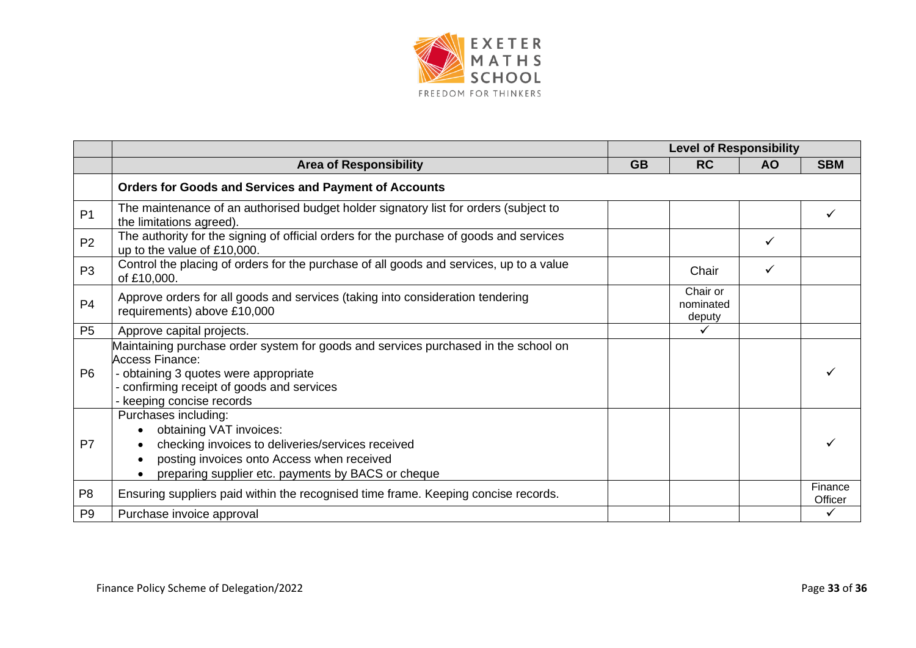

|                |                                                                                                                                                                                                                               | <b>Level of Responsibility</b> |                                 |           |                    |
|----------------|-------------------------------------------------------------------------------------------------------------------------------------------------------------------------------------------------------------------------------|--------------------------------|---------------------------------|-----------|--------------------|
|                | <b>Area of Responsibility</b>                                                                                                                                                                                                 | <b>GB</b>                      | <b>RC</b>                       | <b>AO</b> | <b>SBM</b>         |
|                | <b>Orders for Goods and Services and Payment of Accounts</b>                                                                                                                                                                  |                                |                                 |           |                    |
| P <sub>1</sub> | The maintenance of an authorised budget holder signatory list for orders (subject to<br>the limitations agreed).                                                                                                              |                                |                                 |           |                    |
| P <sub>2</sub> | The authority for the signing of official orders for the purchase of goods and services<br>up to the value of £10,000.                                                                                                        |                                |                                 | ✓         |                    |
| P <sub>3</sub> | Control the placing of orders for the purchase of all goods and services, up to a value<br>of £10,000.                                                                                                                        |                                | Chair                           |           |                    |
| P <sub>4</sub> | Approve orders for all goods and services (taking into consideration tendering<br>requirements) above £10,000                                                                                                                 |                                | Chair or<br>nominated<br>deputy |           |                    |
| P <sub>5</sub> | Approve capital projects.                                                                                                                                                                                                     |                                |                                 |           |                    |
| P <sub>6</sub> | Maintaining purchase order system for goods and services purchased in the school on<br><b>Access Finance:</b><br>- obtaining 3 quotes were appropriate<br>confirming receipt of goods and services<br>keeping concise records |                                |                                 |           |                    |
| P <sub>7</sub> | Purchases including:<br>obtaining VAT invoices:<br>checking invoices to deliveries/services received<br>posting invoices onto Access when received<br>$\bullet$<br>preparing supplier etc. payments by BACS or cheque         |                                |                                 |           |                    |
| P <sub>8</sub> | Ensuring suppliers paid within the recognised time frame. Keeping concise records.                                                                                                                                            |                                |                                 |           | Finance<br>Officer |
| P <sub>9</sub> | Purchase invoice approval                                                                                                                                                                                                     |                                |                                 |           |                    |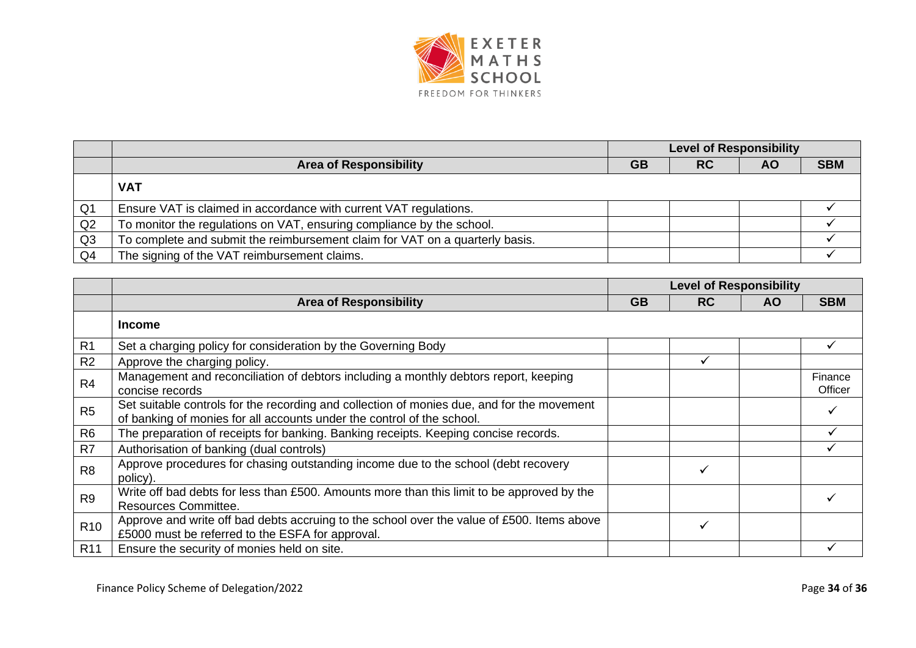

|                |                                                                              | <b>Level of Responsibility</b> |           |           |            |
|----------------|------------------------------------------------------------------------------|--------------------------------|-----------|-----------|------------|
|                | <b>Area of Responsibility</b>                                                | <b>GB</b>                      | <b>RC</b> | <b>AO</b> | <b>SBM</b> |
|                | <b>VAT</b>                                                                   |                                |           |           |            |
| Q <sub>1</sub> | Ensure VAT is claimed in accordance with current VAT regulations.            |                                |           |           |            |
| Q2             | To monitor the regulations on VAT, ensuring compliance by the school.        |                                |           |           |            |
| Q3             | To complete and submit the reimbursement claim for VAT on a quarterly basis. |                                |           |           |            |
| Q <sub>4</sub> | The signing of the VAT reimbursement claims.                                 |                                |           |           |            |

|                 |                                                                                                                                                                      | <b>Level of Responsibility</b> |           |           |                    |
|-----------------|----------------------------------------------------------------------------------------------------------------------------------------------------------------------|--------------------------------|-----------|-----------|--------------------|
|                 | <b>Area of Responsibility</b>                                                                                                                                        | <b>GB</b>                      | <b>RC</b> | <b>AO</b> | <b>SBM</b>         |
|                 | <b>Income</b>                                                                                                                                                        |                                |           |           |                    |
| R <sub>1</sub>  | Set a charging policy for consideration by the Governing Body                                                                                                        |                                |           |           |                    |
| R2              | Approve the charging policy.                                                                                                                                         |                                |           |           |                    |
| R <sub>4</sub>  | Management and reconciliation of debtors including a monthly debtors report, keeping<br>concise records                                                              |                                |           |           | Finance<br>Officer |
| R <sub>5</sub>  | Set suitable controls for the recording and collection of monies due, and for the movement<br>of banking of monies for all accounts under the control of the school. |                                |           |           |                    |
| R <sub>6</sub>  | The preparation of receipts for banking. Banking receipts. Keeping concise records.                                                                                  |                                |           |           |                    |
| R7              | Authorisation of banking (dual controls)                                                                                                                             |                                |           |           |                    |
| R <sub>8</sub>  | Approve procedures for chasing outstanding income due to the school (debt recovery<br>policy).                                                                       |                                |           |           |                    |
| R <sub>9</sub>  | Write off bad debts for less than £500. Amounts more than this limit to be approved by the<br><b>Resources Committee.</b>                                            |                                |           |           |                    |
| R <sub>10</sub> | Approve and write off bad debts accruing to the school over the value of £500. Items above<br>£5000 must be referred to the ESFA for approval.                       |                                |           |           |                    |
| R <sub>11</sub> | Ensure the security of monies held on site.                                                                                                                          |                                |           |           |                    |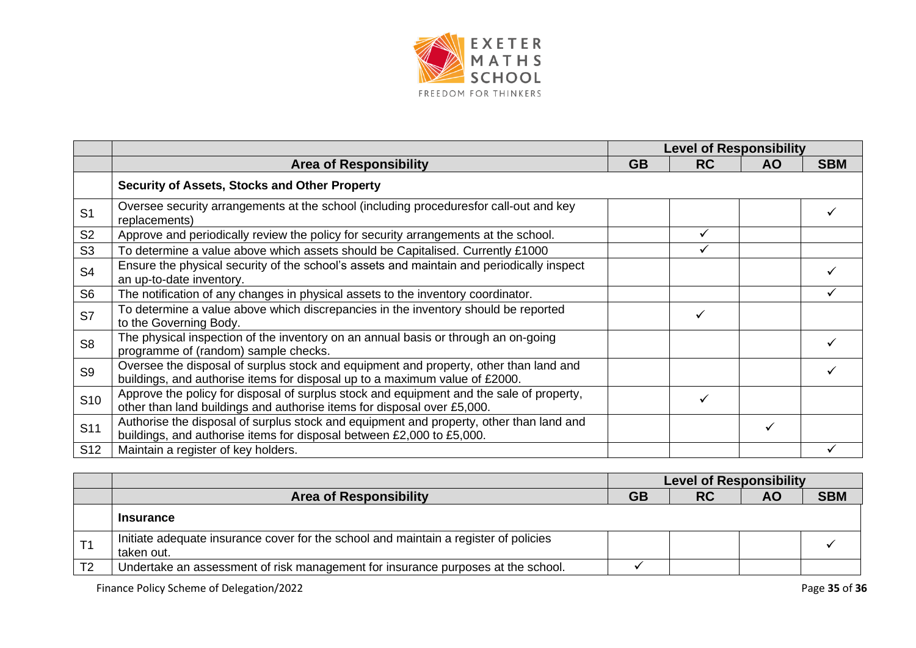

|                 |                                                                                                                                                                      | <b>Level of Responsibility</b> |           |           |            |
|-----------------|----------------------------------------------------------------------------------------------------------------------------------------------------------------------|--------------------------------|-----------|-----------|------------|
|                 | <b>Area of Responsibility</b>                                                                                                                                        | <b>GB</b>                      | <b>RC</b> | <b>AO</b> | <b>SBM</b> |
|                 | Security of Assets, Stocks and Other Property                                                                                                                        |                                |           |           |            |
| S <sub>1</sub>  | Oversee security arrangements at the school (including proceduresfor call-out and key<br>replacements)                                                               |                                |           |           |            |
| S <sub>2</sub>  | Approve and periodically review the policy for security arrangements at the school.                                                                                  |                                | ✓         |           |            |
| S <sub>3</sub>  | To determine a value above which assets should be Capitalised. Currently £1000                                                                                       |                                | ✓         |           |            |
| S <sub>4</sub>  | Ensure the physical security of the school's assets and maintain and periodically inspect<br>an up-to-date inventory.                                                |                                |           |           |            |
| S <sub>6</sub>  | The notification of any changes in physical assets to the inventory coordinator.                                                                                     |                                |           |           |            |
| S7              | To determine a value above which discrepancies in the inventory should be reported<br>to the Governing Body.                                                         |                                |           |           |            |
| S <sub>8</sub>  | The physical inspection of the inventory on an annual basis or through an on-going<br>programme of (random) sample checks.                                           |                                |           |           |            |
| S <sub>9</sub>  | Oversee the disposal of surplus stock and equipment and property, other than land and<br>buildings, and authorise items for disposal up to a maximum value of £2000. |                                |           |           |            |
| S <sub>10</sub> | Approve the policy for disposal of surplus stock and equipment and the sale of property,<br>other than land buildings and authorise items for disposal over £5,000.  |                                |           |           |            |
| S <sub>11</sub> | Authorise the disposal of surplus stock and equipment and property, other than land and<br>buildings, and authorise items for disposal between £2,000 to £5,000.     |                                |           | ✓         |            |
| S <sub>12</sub> | Maintain a register of key holders.                                                                                                                                  |                                |           |           |            |

|                |                                                                                                    | <b>Level of Responsibility</b> |           |           |            |
|----------------|----------------------------------------------------------------------------------------------------|--------------------------------|-----------|-----------|------------|
|                | <b>Area of Responsibility</b>                                                                      | <b>GB</b>                      | <b>RC</b> | <b>AO</b> | <b>SBM</b> |
|                | <b>Insurance</b>                                                                                   |                                |           |           |            |
|                | Initiate adequate insurance cover for the school and maintain a register of policies<br>taken out. |                                |           |           |            |
| T <sub>2</sub> | Undertake an assessment of risk management for insurance purposes at the school.                   |                                |           |           |            |

Finance Policy Scheme of Delegation/2022 **Page 35** of **36** Page 35 of **36**